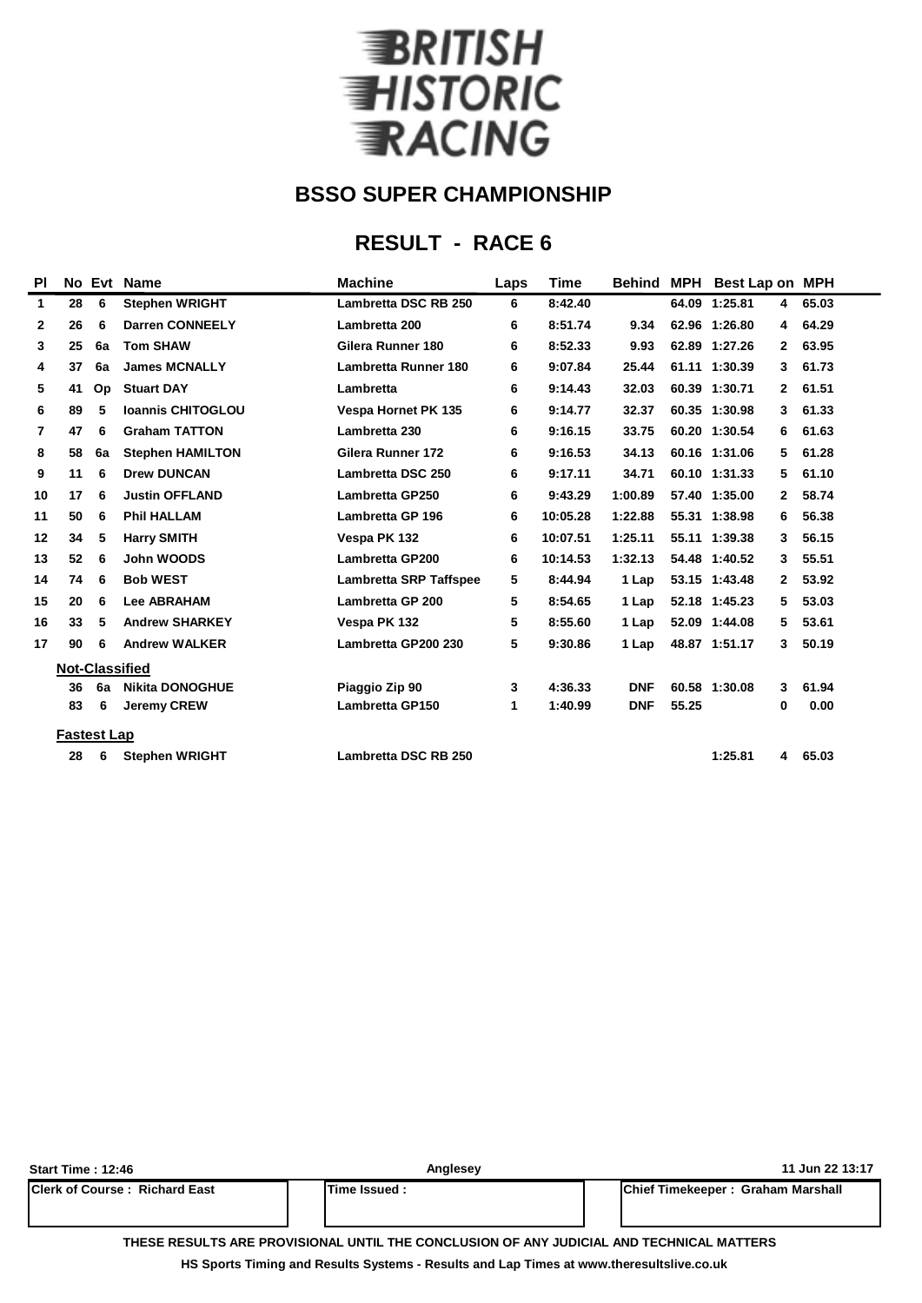

### **RESULT - RACE 6**

| PI             |                    | No Evt | <b>Name</b>              | <b>Machine</b>                | Laps | Time<br><b>Behind</b> |            | <b>MPH</b> | <b>Best Lap on MPH</b> |              |       |  |
|----------------|--------------------|--------|--------------------------|-------------------------------|------|-----------------------|------------|------------|------------------------|--------------|-------|--|
| 1              | 28                 | 6      | <b>Stephen WRIGHT</b>    | <b>Lambretta DSC RB 250</b>   | 6    | 8:42.40               |            |            | 64.09 1:25.81          | 4            | 65.03 |  |
| $\mathbf{2}$   | 26                 | 6      | <b>Darren CONNEELY</b>   | Lambretta 200                 | 6    | 8:51.74               | 9.34       |            | 62.96 1:26.80          | 4            | 64.29 |  |
| 3              | 25                 | 6a     | <b>Tom SHAW</b>          | Gilera Runner 180             | 6    | 8:52.33               | 9.93       |            | 62.89 1:27.26          | 2            | 63.95 |  |
| 4              | 37                 | 6a     | <b>James MCNALLY</b>     | <b>Lambretta Runner 180</b>   | 6    | 9:07.84               | 25.44      |            | 61.11 1:30.39          | 3            | 61.73 |  |
| 5              | 41                 | Op     | <b>Stuart DAY</b>        | Lambretta                     | 6    | 9:14.43               | 32.03      |            | 60.39 1:30.71          | $\mathbf{2}$ | 61.51 |  |
| 6              | 89                 | 5      | <b>Ioannis CHITOGLOU</b> | <b>Vespa Hornet PK 135</b>    | 6    | 9:14.77               | 32.37      |            | 60.35 1:30.98          | 3            | 61.33 |  |
| $\overline{7}$ | 47                 | 6      | <b>Graham TATTON</b>     | Lambretta 230                 | 6    | 9:16.15               | 33.75      |            | 60.20 1:30.54          | 6            | 61.63 |  |
| 8              | 58                 | 6a     | <b>Stephen HAMILTON</b>  | Gilera Runner 172             | 6    | 9:16.53               | 34.13      |            | 60.16 1:31.06          | 5            | 61.28 |  |
| 9              | 11                 | 6      | <b>Drew DUNCAN</b>       | Lambretta DSC 250             | 6    | 9:17.11               | 34.71      |            | 60.10 1:31.33          | 5            | 61.10 |  |
| 10             | 17                 | 6      | <b>Justin OFFLAND</b>    | <b>Lambretta GP250</b>        | 6    | 9:43.29               | 1:00.89    |            | 57.40 1:35.00          | 2            | 58.74 |  |
| 11             | 50                 | 6      | <b>Phil HALLAM</b>       | Lambretta GP 196              | 6    | 10:05.28              | 1:22.88    |            | 55.31 1:38.98          | 6            | 56.38 |  |
| 12             | 34                 | 5      | <b>Harry SMITH</b>       | Vespa PK 132                  | 6    | 10:07.51              | 1:25.11    |            | 55.11 1:39.38          | 3            | 56.15 |  |
| 13             | 52                 | 6      | John WOODS               | <b>Lambretta GP200</b>        | 6    | 10:14.53              | 1:32.13    |            | 54.48 1:40.52          | 3            | 55.51 |  |
| 14             | 74                 | 6      | <b>Bob WEST</b>          | <b>Lambretta SRP Taffspee</b> | 5    | 8:44.94               | 1 Lap      |            | 53.15 1:43.48          | $\mathbf{2}$ | 53.92 |  |
| 15             | 20                 | 6      | <b>Lee ABRAHAM</b>       | <b>Lambretta GP 200</b>       | 5    | 8:54.65               | 1 Lap      |            | 52.18 1:45.23          | 5            | 53.03 |  |
| 16             | 33                 | 5      | <b>Andrew SHARKEY</b>    | Vespa PK 132                  | 5    | 8:55.60               | 1 Lap      |            | 52.09 1:44.08          | 5            | 53.61 |  |
| 17             | 90                 | 6      | <b>Andrew WALKER</b>     | Lambretta GP200 230           | 5    | 9:30.86               | 1 Lap      |            | 48.87 1:51.17          | 3            | 50.19 |  |
|                |                    |        | <b>Not-Classified</b>    |                               |      |                       |            |            |                        |              |       |  |
|                | 36                 | 6a     | <b>Nikita DONOGHUE</b>   | Piaggio Zip 90                | 3    | 4:36.33               | <b>DNF</b> |            | 60.58 1:30.08          | 3            | 61.94 |  |
|                | 83                 | 6      | <b>Jeremy CREW</b>       | <b>Lambretta GP150</b>        | 1    | 1:40.99               | <b>DNF</b> | 55.25      |                        | 0            | 0.00  |  |
|                | <b>Fastest Lap</b> |        |                          |                               |      |                       |            |            |                        |              |       |  |
|                | 28                 | 6      | <b>Stephen WRIGHT</b>    | <b>Lambretta DSC RB 250</b>   |      |                       |            |            | 1:25.81                | 4            | 65.03 |  |
|                |                    |        |                          |                               |      |                       |            |            |                        |              |       |  |

| <b>Start Time: 12:46</b>               | Anglesey     | 11 Jun 22 13:17                           |
|----------------------------------------|--------------|-------------------------------------------|
| <b>IClerk of Course : Richard East</b> | Time Issued: | <b>IChief Timekeeper: Graham Marshall</b> |
|                                        |              |                                           |

**THESE RESULTS ARE PROVISIONAL UNTIL THE CONCLUSION OF ANY JUDICIAL AND TECHNICAL MATTERS**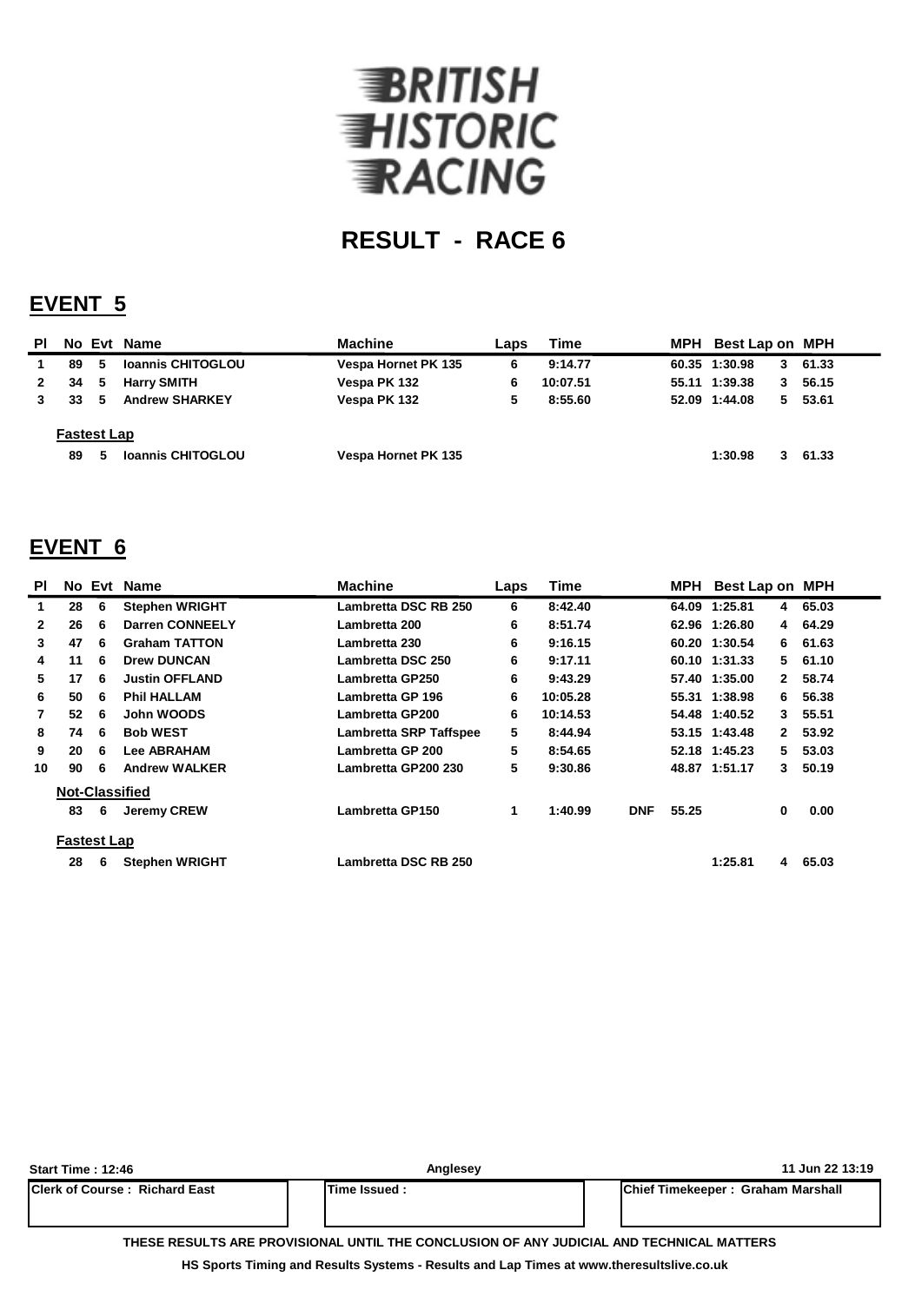

### **EVENT 5**

| PI.          |                    |   | No Evt Name              | <b>Machine</b>      | Laps | Time     | MPH | Best Lap on MPH |    |         |
|--------------|--------------------|---|--------------------------|---------------------|------|----------|-----|-----------------|----|---------|
|              | 89                 | 5 | <b>Ioannis CHITOGLOU</b> | Vespa Hornet PK 135 | 6    | 9:14.77  |     | 60.35 1:30.98   |    | 361.33  |
| $\mathbf{2}$ | 34                 | 5 | <b>Harry SMITH</b>       | Vespa PK 132        | 6    | 10:07.51 |     | 55.11 1:39.38   | 3  | 56.15   |
|              | 33                 | 5 | <b>Andrew SHARKEY</b>    | Vespa PK 132        | 5    | 8:55.60  |     | 52.09 1:44.08   | 5. | 53.61   |
|              | <b>Fastest Lap</b> |   |                          |                     |      |          |     |                 |    |         |
|              | 89                 | 5 | <b>Ioannis CHITOGLOU</b> | Vespa Hornet PK 135 |      |          |     | 1:30.98         |    | 3 61.33 |

### **EVENT 6**

| PI             |                    |    | No Evt Name            | <b>Machine</b>              | Laps | <b>Time</b> |            |       | MPH Best Lap on MPH |              |         |
|----------------|--------------------|----|------------------------|-----------------------------|------|-------------|------------|-------|---------------------|--------------|---------|
| 1.             | 28                 | 6  | <b>Stephen WRIGHT</b>  | <b>Lambretta DSC RB 250</b> | 6    | 8:42.40     |            |       | 64.09 1:25.81       | 4            | 65.03   |
| $\mathbf{2}$   | 26                 | 6  | <b>Darren CONNEELY</b> | Lambretta 200               | 6    | 8:51.74     |            |       | 62.96 1:26.80       |              | 4 64.29 |
| 3              | 47                 | 6  | <b>Graham TATTON</b>   | Lambretta 230               | 6    | 9:16.15     |            |       | 60.20 1:30.54       | 6.           | 61.63   |
| 4              | 11                 | 6  | <b>Drew DUNCAN</b>     | Lambretta DSC 250           | 6    | 9:17.11     |            |       | 60.10 1:31.33       | 5            | 61.10   |
| 5              | 17                 | -6 | <b>Justin OFFLAND</b>  | Lambretta GP250             | 6    | 9:43.29     |            |       | 57.40 1:35.00       | $\mathbf{2}$ | 58.74   |
| 6              | 50                 | -6 | <b>Phil HALLAM</b>     | Lambretta GP 196            | 6    | 10:05.28    |            |       | 55.31 1:38.98       | 6            | 56.38   |
| $\overline{7}$ | 52                 | 6  | John WOODS             | <b>Lambretta GP200</b>      | 6    | 10:14.53    |            |       | 54.48 1:40.52       | 3            | 55.51   |
| 8              | 74                 | 6  | <b>Bob WEST</b>        | Lambretta SRP Taffspee      | 5    | 8:44.94     |            |       | 53.15 1:43.48       | $\mathbf{2}$ | 53.92   |
| 9              | 20                 | 6  | <b>Lee ABRAHAM</b>     | Lambretta GP 200            | 5    | 8:54.65     |            |       | 52.18 1:45.23       | 5            | 53.03   |
| 10             | 90                 | 6  | <b>Andrew WALKER</b>   | Lambretta GP200 230         | 5    | 9:30.86     |            |       | 48.87 1:51.17       | 3.           | 50.19   |
|                |                    |    | <b>Not-Classified</b>  |                             |      |             |            |       |                     |              |         |
|                | 83                 | 6  | <b>Jeremy CREW</b>     | Lambretta GP150             | 1    | 1:40.99     | <b>DNF</b> | 55.25 |                     | 0            | 0.00    |
|                | <b>Fastest Lap</b> |    |                        |                             |      |             |            |       |                     |              |         |
|                | 28                 | 6  | <b>Stephen WRIGHT</b>  | Lambretta DSC RB 250        |      |             |            |       | 1:25.81             | 4            | 65.03   |

| <b>Start Time: 12:46</b>              | Anglesey                                                                                 | 11 Jun 22 13:19                           |
|---------------------------------------|------------------------------------------------------------------------------------------|-------------------------------------------|
| <b>IClerk of Course: Richard East</b> | Time Issued:                                                                             | <b>IChief Timekeeper: Graham Marshall</b> |
|                                       | THESE RESULTS ARE PROVISIONAL UNTIL THE CONCLUSION OF ANY JUDICIAL AND TECHNICAL MATTERS |                                           |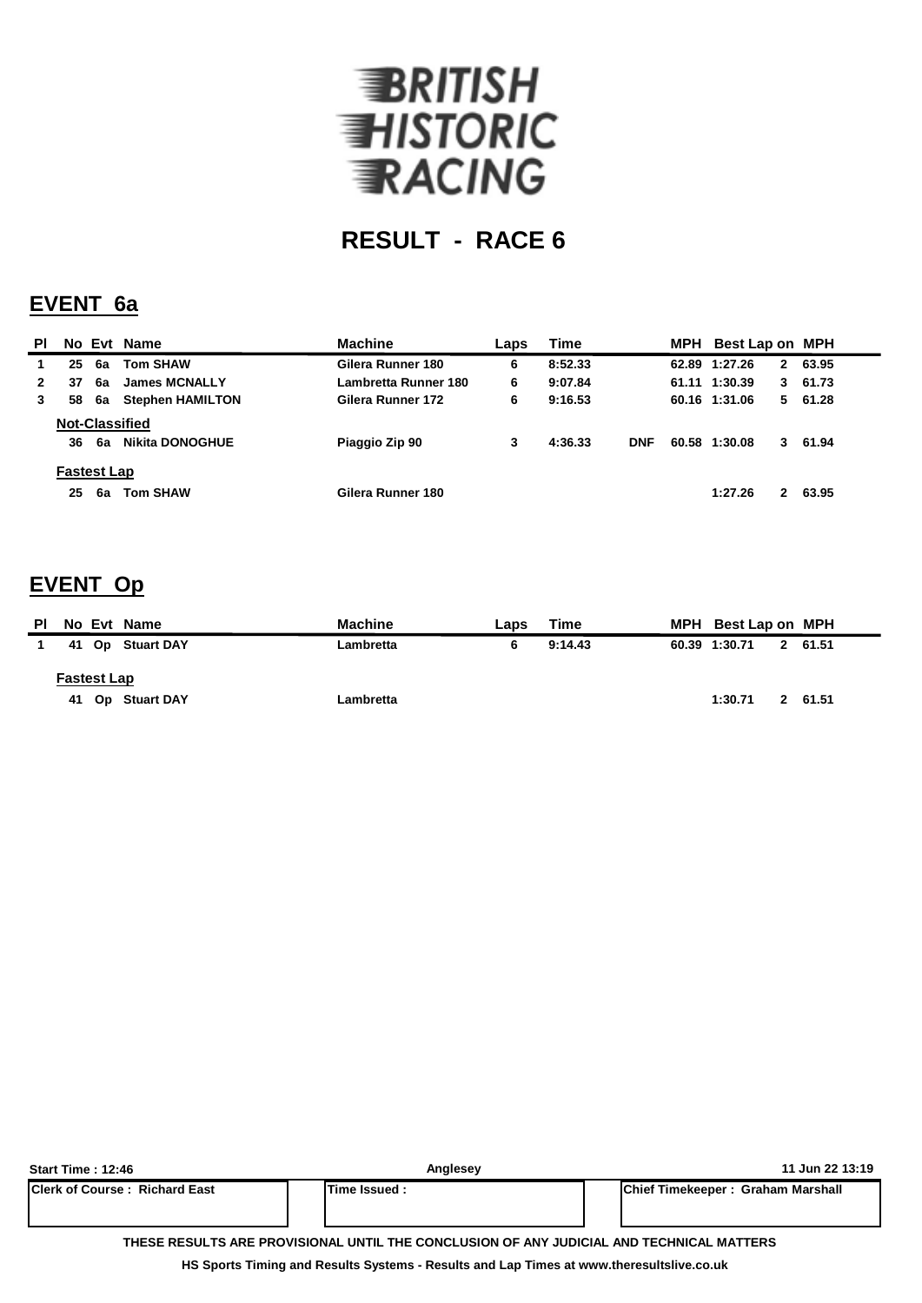

#### **EVENT 6a**

| <b>PI</b> |                    |    | No Evt Name             | <b>Machine</b>       | Laps | Time    |            | MPH Best Lap on MPH |              |          |
|-----------|--------------------|----|-------------------------|----------------------|------|---------|------------|---------------------|--------------|----------|
|           | 25                 | 6a | <b>Tom SHAW</b>         | Gilera Runner 180    | 6    | 8:52.33 |            | 62.89 1:27.26       | $\mathbf{2}$ | 63.95    |
|           | 37                 | 6a | <b>James MCNALLY</b>    | Lambretta Runner 180 | 6    | 9:07.84 |            | 61.11 1:30.39       |              | 3, 61.73 |
|           | 58                 | 6а | <b>Stephen HAMILTON</b> | Gilera Runner 172    | 6    | 9:16.53 |            | 60.16 1:31.06       |              | 561.28   |
|           |                    |    | <b>Not-Classified</b>   |                      |      |         |            |                     |              |          |
|           | 36                 | 6a | <b>Nikita DONOGHUE</b>  | Piaggio Zip 90       | 3    | 4:36.33 | <b>DNF</b> | 60.58 1:30.08       |              | 3 61.94  |
|           | <b>Fastest Lap</b> |    |                         |                      |      |         |            |                     |              |          |
|           | 25                 | 6а | <b>Tom SHAW</b>         | Gilera Runner 180    |      |         |            | 1:27.26             | $\mathbf{2}$ | 63.95    |

#### **EVENT Op**

| PL | No Evt Name         | <b>Machine</b> | Laps | Time    | MPH Best Lap on MPH |         |  |
|----|---------------------|----------------|------|---------|---------------------|---------|--|
|    | 41<br>Op Stuart DAY | Lambretta      | 6    | 9:14.43 | 60.39 1:30.71       | 2 61.51 |  |
|    | <b>Fastest Lap</b>  |                |      |         |                     |         |  |
|    | 41 Op Stuart DAY    | Lambretta      |      |         | 1:30.71             | 2 61.51 |  |

| Start Time : 12:46                                                                       | Anglesev      | 11 Jun 22 13:19                           |  |  |  |  |  |  |
|------------------------------------------------------------------------------------------|---------------|-------------------------------------------|--|--|--|--|--|--|
| <b>IClerk of Course: Richard East</b>                                                    | Time Issued : | <b>IChief Timekeeper: Graham Marshall</b> |  |  |  |  |  |  |
|                                                                                          |               |                                           |  |  |  |  |  |  |
|                                                                                          |               |                                           |  |  |  |  |  |  |
| THESE RESULTS ARE PROVISIONAL UNTIL THE CONCLUSION OF ANY JUDICIAL AND TECHNICAL MATTERS |               |                                           |  |  |  |  |  |  |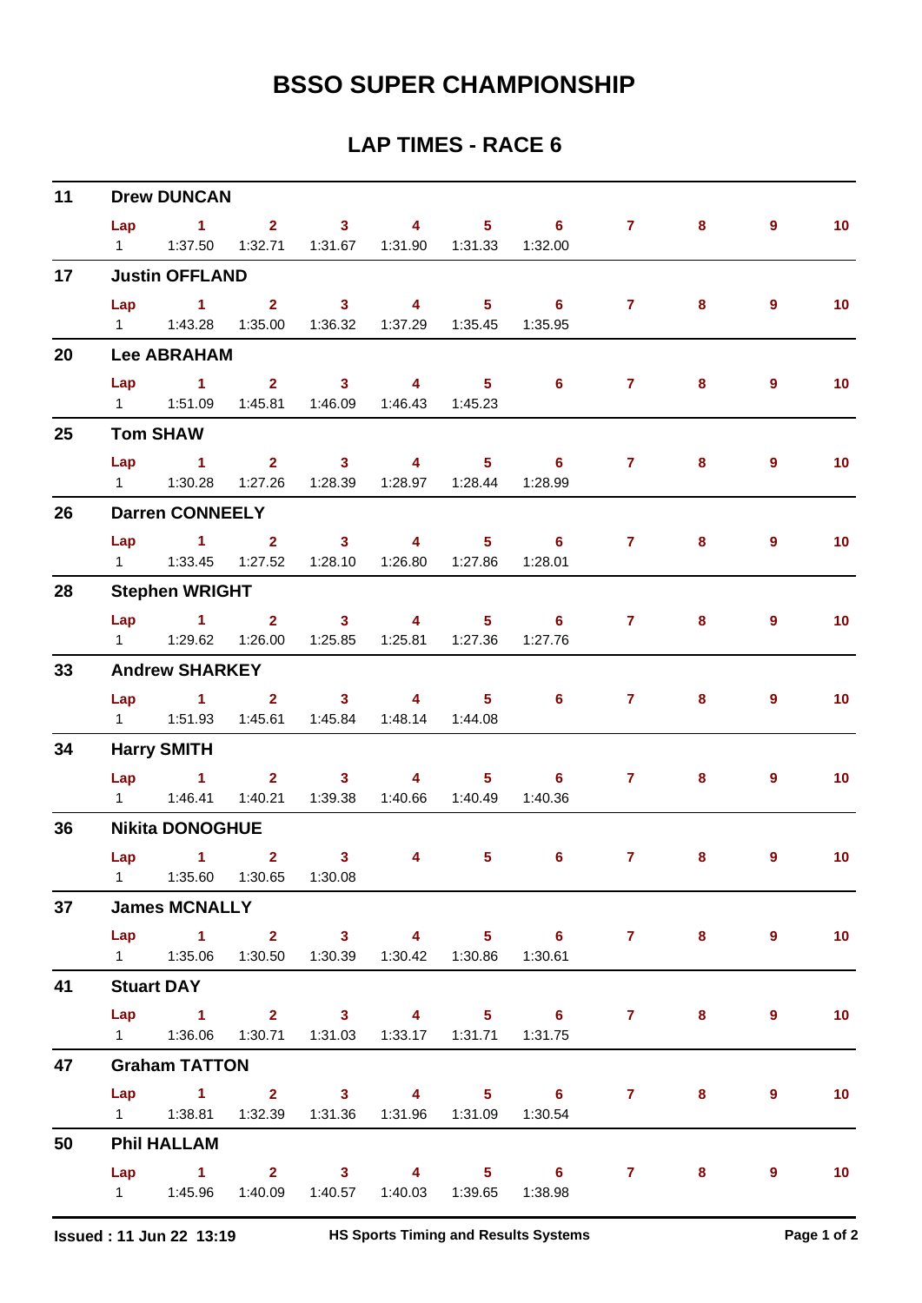| 11 | <b>Drew DUNCAN</b> |                                                               |  |                         |              |  |                                                  |                     |       |                |                   |  |  |
|----|--------------------|---------------------------------------------------------------|--|-------------------------|--------------|--|--------------------------------------------------|---------------------|-------|----------------|-------------------|--|--|
|    | Lap                |                                                               |  |                         |              |  | $1 \qquad 2 \qquad 3 \qquad 4 \qquad 5 \qquad 6$ | $7 \quad \circ$     | 8     | $\overline{9}$ | 10 <sub>1</sub>   |  |  |
|    |                    | 1   1:37.50   1:32.71   1:31.67   1:31.90   1:31.33   1:32.00 |  |                         |              |  |                                                  |                     |       |                |                   |  |  |
| 17 |                    | <b>Justin OFFLAND</b>                                         |  |                         |              |  |                                                  |                     |       |                |                   |  |  |
|    |                    | $Lap$ 1 2                                                     |  | $\overline{\mathbf{3}}$ |              |  |                                                  | 4 5 6 7             | 8     | $\overline{9}$ | 10 <sub>1</sub>   |  |  |
|    |                    | 1   1:43.28   1:35.00   1:36.32   1:37.29   1:35.45   1:35.95 |  |                         |              |  |                                                  |                     |       |                |                   |  |  |
| 20 |                    | <b>Lee ABRAHAM</b>                                            |  |                         |              |  |                                                  |                     |       |                |                   |  |  |
|    | Lap                | $\sim$ $-1$                                                   |  | 2 3 4 5                 |              |  | $\overline{\phantom{a}}$ 6                       | $\mathbf{7}$        | 8     | 9              | 10 <sub>1</sub>   |  |  |
|    |                    | 1   1:51.09   1:45.81   1:46.09   1:46.43   1:45.23           |  |                         |              |  |                                                  |                     |       |                |                   |  |  |
| 25 |                    | <b>Tom SHAW</b>                                               |  |                         |              |  |                                                  |                     |       |                |                   |  |  |
|    | Lap                | $\sim$ $\sim$ 1.                                              |  | 2 3 4 5                 |              |  | $\overline{\phantom{0}}$ 6                       | $7 -$               | 8     | 9              | 10                |  |  |
|    |                    | 1   1:30.28   1:27.26   1:28.39   1:28.97   1:28.44   1:28.99 |  |                         |              |  |                                                  |                     |       |                |                   |  |  |
| 26 |                    | <b>Darren CONNEELY</b>                                        |  |                         |              |  |                                                  |                     |       |                |                   |  |  |
|    | Lap                |                                                               |  |                         |              |  |                                                  | 1 2 3 4 5 6 7       | 8     | 9              | 10 <sub>1</sub>   |  |  |
|    |                    | 1   1:33.45   1:27.52   1:28.10   1:26.80   1:27.86   1:28.01 |  |                         |              |  |                                                  |                     |       |                |                   |  |  |
| 28 |                    | <b>Stephen WRIGHT</b>                                         |  |                         |              |  |                                                  |                     |       |                |                   |  |  |
|    |                    |                                                               |  |                         |              |  |                                                  | Lap 1 2 3 4 5 6 7   | 8     | $\overline{9}$ | 10 <sub>1</sub>   |  |  |
|    |                    | 1    1:29.62    1:26.00    1:25.85    1:25.81    1:27.36      |  |                         |              |  | 1:27.76                                          |                     |       |                |                   |  |  |
| 33 |                    | <b>Andrew SHARKEY</b>                                         |  |                         |              |  |                                                  |                     |       |                |                   |  |  |
|    | Lap                | $1 \qquad 2 \qquad 3 \qquad 4 \qquad 5 \qquad 6$              |  |                         |              |  |                                                  | $\mathbf{7}$        | 8     | 9              | 10 <sub>1</sub>   |  |  |
|    |                    | 1   1:51.93   1:45.61   1:45.84   1:48.14   1:44.08           |  |                         |              |  |                                                  |                     |       |                |                   |  |  |
| 34 |                    | <b>Harry SMITH</b>                                            |  |                         |              |  |                                                  |                     |       |                |                   |  |  |
|    |                    | Lap 1 2 3 4 5 6                                               |  |                         |              |  |                                                  | $7 -$               | 8     | 9              | 10                |  |  |
|    |                    | 1   1:46.41   1:40.21   1:39.38   1:40.66   1:40.49           |  |                         |              |  | 1:40.36                                          |                     |       |                |                   |  |  |
| 36 |                    | <b>Nikita DONOGHUE</b>                                        |  |                         |              |  |                                                  |                     |       |                |                   |  |  |
|    |                    | Lap 1 2 3                                                     |  |                         | $4 \qquad 5$ |  | $6^{\circ}$                                      | 7 <sup>7</sup>      | 8     | 9              | 10                |  |  |
|    |                    | 1   1:35.60  1:30.65  1:30.08                                 |  |                         |              |  |                                                  |                     |       |                |                   |  |  |
| 37 |                    | <b>James MCNALLY</b>                                          |  |                         |              |  |                                                  |                     |       |                |                   |  |  |
|    |                    |                                                               |  |                         |              |  |                                                  | Lap 1 2 3 4 5 6 7 8 |       | 9              | 10                |  |  |
|    |                    | 1   1:35.06   1:30.50   1:30.39   1:30.42   1:30.86   1:30.61 |  |                         |              |  |                                                  |                     |       |                |                   |  |  |
| 41 |                    | <b>Stuart DAY</b>                                             |  |                         |              |  |                                                  |                     |       |                |                   |  |  |
|    |                    |                                                               |  |                         |              |  |                                                  | Lap 1 2 3 4 5 6 7   | $8 -$ | 9              | 10                |  |  |
|    |                    | 1   1:36.06   1:30.71   1:31.03   1:33.17   1:31.71   1:31.75 |  |                         |              |  |                                                  |                     |       |                |                   |  |  |
| 47 |                    | <b>Graham TATTON</b>                                          |  |                         |              |  |                                                  |                     |       |                |                   |  |  |
|    |                    |                                                               |  |                         |              |  |                                                  | Lap 1 2 3 4 5 6 7 8 |       | $\overline{9}$ | 10 <sub>1</sub>   |  |  |
|    |                    | 1   1:38.81   1:32.39   1:31.36   1:31.96   1:31.09   1:30.54 |  |                         |              |  |                                                  |                     |       |                |                   |  |  |
| 50 |                    | <b>Phil HALLAM</b>                                            |  |                         |              |  |                                                  |                     |       |                |                   |  |  |
|    |                    |                                                               |  |                         |              |  |                                                  | Lap 1 2 3 4 5 6 7 8 |       | 9              | $\blacksquare$ 10 |  |  |
|    |                    | 1   1:45.96   1:40.09   1:40.57   1:40.03   1:39.65   1:38.98 |  |                         |              |  |                                                  |                     |       |                |                   |  |  |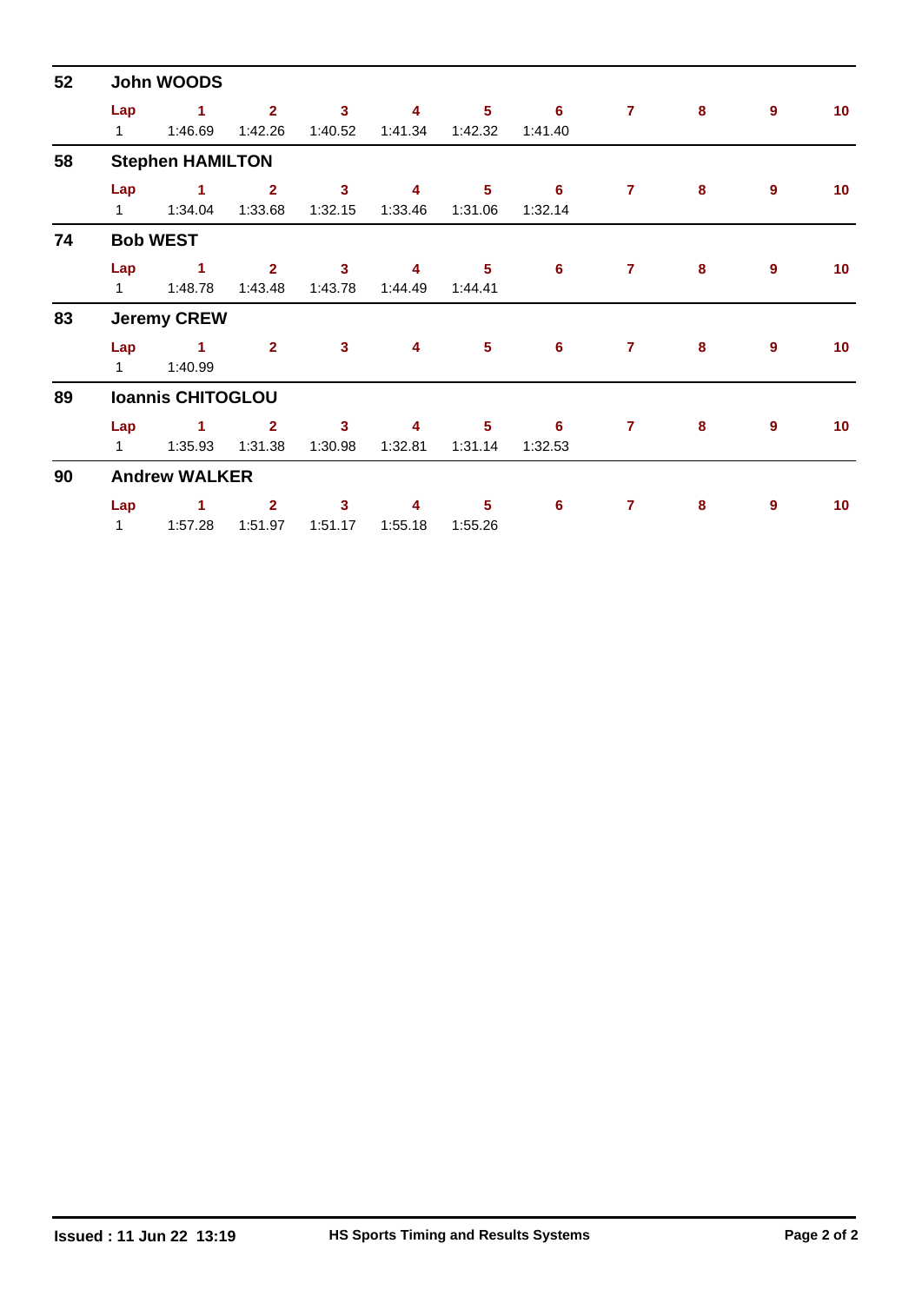| 52 | John WOODS          |                                 |                           |                                    |              |                           |                |                |          |                  |                 |  |  |  |
|----|---------------------|---------------------------------|---------------------------|------------------------------------|--------------|---------------------------|----------------|----------------|----------|------------------|-----------------|--|--|--|
|    | Lap<br>$1 \quad$    | $\blacktriangleleft$<br>1:46.69 | $\overline{2}$<br>1:42.26 | $\overline{3}$<br>1:40.52          | 4<br>1:41.34 | 5 <sup>5</sup><br>1:42.32 | 6<br>1:41.40   | $\overline{7}$ | 8        | 9                | 10 <sub>1</sub> |  |  |  |
| 58 |                     | <b>Stephen HAMILTON</b>         |                           |                                    |              |                           |                |                |          |                  |                 |  |  |  |
|    | Lap<br>$1 \quad$    | $\blacksquare$ 1<br>1:34.04     | $\overline{2}$<br>1:33.68 | $\mathbf{3}$<br>1:32.15            | 4<br>1:33.46 | 5<br>1:31.06              | 6<br>1:32.14   | $\mathbf{7}$   | 8        | 9                | 10              |  |  |  |
| 74 |                     | <b>Bob WEST</b>                 |                           |                                    |              |                           |                |                |          |                  |                 |  |  |  |
|    | Lap<br>$1 \quad$    | $\blacksquare$<br>1:48.78       | $\mathbf{2}$<br>1:43.48   | $\mathbf{3}$<br>1:43.78            | 4<br>1:44.49 | $5\phantom{1}$<br>1:44.41 | 6              | $\overline{7}$ | 8        | $\boldsymbol{9}$ | 10 <sup>°</sup> |  |  |  |
| 83 |                     | <b>Jeremy CREW</b>              |                           |                                    |              |                           |                |                |          |                  |                 |  |  |  |
|    | Lap<br>$1 \quad$    | $\blacktriangleleft$<br>1:40.99 | $\overline{2}$            | $\overline{\mathbf{3}}$            | 4            | $\sqrt{5}$                | 6              | $\overline{7}$ | 8        | $\mathbf{9}$     | 10 <sub>1</sub> |  |  |  |
| 89 |                     | <b>Ioannis CHITOGLOU</b>        |                           |                                    |              |                           |                |                |          |                  |                 |  |  |  |
|    | Lap<br>$1 \quad$    | $\blacktriangleleft$<br>1:35.93 | $\overline{2}$<br>1:31.38 | $\mathbf{3}$<br>1:30.98            | 4<br>1:32.81 | 5<br>1:31.14              | 6<br>1:32.53   | $\overline{7}$ | 8        | $\mathbf{9}$     | 10 <sub>1</sub> |  |  |  |
| 90 |                     | <b>Andrew WALKER</b>            |                           |                                    |              |                           |                |                |          |                  |                 |  |  |  |
|    | Lap<br>$\mathbf{1}$ | $\mathbf{1}$<br>1:57.28         | $\overline{2}$<br>1:51.97 | $\overline{\mathbf{3}}$<br>1:51.17 | 4<br>1:55.18 | $5\phantom{a}$<br>1:55.26 | $6\phantom{1}$ | $\overline{7}$ | $\bf{8}$ | 9                | 10 <sub>1</sub> |  |  |  |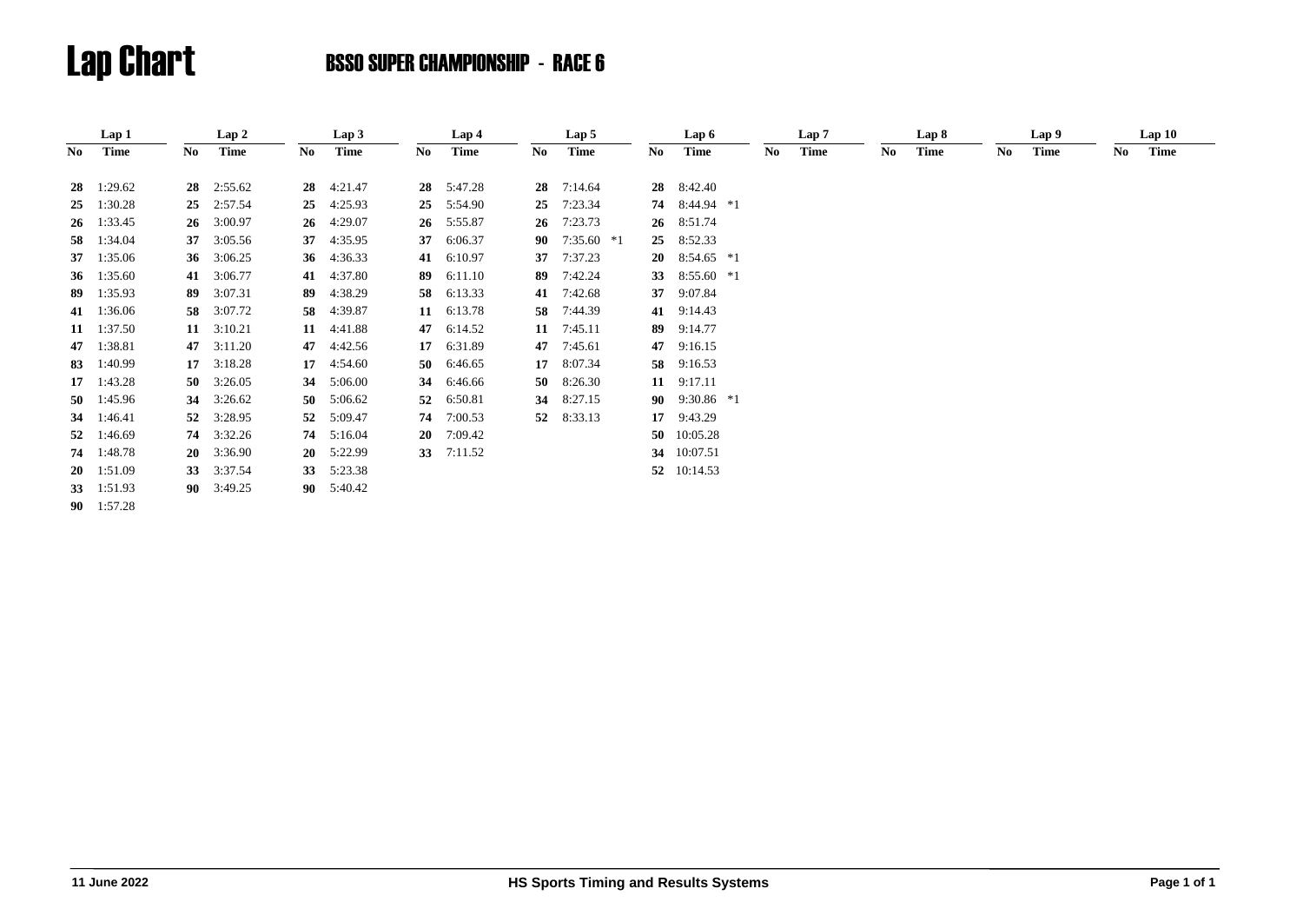|      | Lap 1              |    | Lap 2              |           | Lap 3   |     | Lap 4       |     | Lap 5              |    | Lap 6              |    | Lap 7 |    | Lap 8       |     | Lap 9 |     | Lap10 |  |
|------|--------------------|----|--------------------|-----------|---------|-----|-------------|-----|--------------------|----|--------------------|----|-------|----|-------------|-----|-------|-----|-------|--|
| No - | Time               | No | Time               | No        | Time    | No. | <b>Time</b> | No. | <b>Time</b>        | No | <b>Time</b>        | No | Time  | No | <b>Time</b> | No. | Time  | No. | Time  |  |
|      | $28 \quad 1:29.62$ | 28 | 2:55.62            | 28        | 4:21.47 | 28  | 5:47.28     | 28  | 7:14.64            |    | 28 8:42.40         |    |       |    |             |     |       |     |       |  |
|      | 25 1:30.28         |    | 25 2:57.54         | 25        | 4:25.93 | 25  | 5:54.90     | 25  | 7:23.34            |    | 74 8:44.94 *1      |    |       |    |             |     |       |     |       |  |
|      | $26 \quad 1:33.45$ | 26 | 3:00.97            | 26        | 4:29.07 | 26  | 5:55.87     | 26  | 7:23.73            |    | 26 8:51.74         |    |       |    |             |     |       |     |       |  |
| 58   | 1:34.04            | 37 | 3:05.56            | 37        | 4:35.95 | 37  | 6:06.37     | 90  | $7:35.60*1$        |    | 25 8:52.33         |    |       |    |             |     |       |     |       |  |
|      | 37 1:35.06         |    | 36 $3:06.25$       | 36        | 4:36.33 | 41  | 6:10.97     | 37  | 7:37.23            |    | 20 $8:54.65$ *1    |    |       |    |             |     |       |     |       |  |
|      | 36 1:35.60         | 41 | 3:06.77            | 41        | 4:37.80 | 89  | 6:11.10     | 89  | 7:42.24            |    | 33 8:55.60 *1      |    |       |    |             |     |       |     |       |  |
|      | 89 1:35.93         | 89 | 3:07.31            | 89        | 4:38.29 | 58  | 6:13.33     |     | 41 7:42.68         |    | 37 9:07.84         |    |       |    |             |     |       |     |       |  |
|      | 41 1:36.06         |    | 58 3:07.72         | 58        | 4:39.87 | 11  | 6:13.78     | 58  | 7:44.39            |    | 41 9:14.43         |    |       |    |             |     |       |     |       |  |
|      | 11 1:37.50         |    | $11 \quad 3:10.21$ | 11        | 4:41.88 |     | 47 6:14.52  |     | $11 \quad 7:45.11$ |    | 89 9:14.77         |    |       |    |             |     |       |     |       |  |
|      | 47 1:38.81         | 47 | 3:11.20            | 47        | 4:42.56 | 17  | 6:31.89     | 47  | 7:45.61            |    | 47 9:16.15         |    |       |    |             |     |       |     |       |  |
| 83   | 1:40.99            |    | $17 \quad 3:18.28$ | 17        | 4:54.60 | 50  | 6:46.65     | 17  | 8:07.34            |    | 58 9:16.53         |    |       |    |             |     |       |     |       |  |
|      | $17 \quad 1:43.28$ |    | 50 $3:26.05$       | 34        | 5:06.00 | 34  | 6:46.66     | 50  | 8:26.30            |    | 11 9:17.11         |    |       |    |             |     |       |     |       |  |
|      | 50 1:45.96         | 34 | 3:26.62            | 50        | 5:06.62 | 52  | 6:50.81     | 34  | 8:27.15            |    | 90 9:30.86 *1      |    |       |    |             |     |       |     |       |  |
|      | 34 1:46.41         | 52 | 3:28.95            | 52        | 5:09.47 | 74  | 7:00.53     |     | 52 8:33.13         |    | $17 \quad 9:43.29$ |    |       |    |             |     |       |     |       |  |
| 52   | 1:46.69            |    | 74 3:32.26         | 74        | 5:16.04 | 20  | 7:09.42     |     |                    |    | 50 10:05.28        |    |       |    |             |     |       |     |       |  |
|      | 74 1:48.78         |    | $20 \quad 3:36.90$ | <b>20</b> | 5:22.99 | 33  | 7:11.52     |     |                    | 34 | 10:07.51           |    |       |    |             |     |       |     |       |  |
|      | $20 \quad 1:51.09$ |    | 33 3:37.54         | 33        | 5:23.38 |     |             |     |                    |    | 52 10:14.53        |    |       |    |             |     |       |     |       |  |
|      | 33 $1:51.93$       |    | 90 3:49.25         | 90        | 5:40.42 |     |             |     |                    |    |                    |    |       |    |             |     |       |     |       |  |
|      | 90 1:57.28         |    |                    |           |         |     |             |     |                    |    |                    |    |       |    |             |     |       |     |       |  |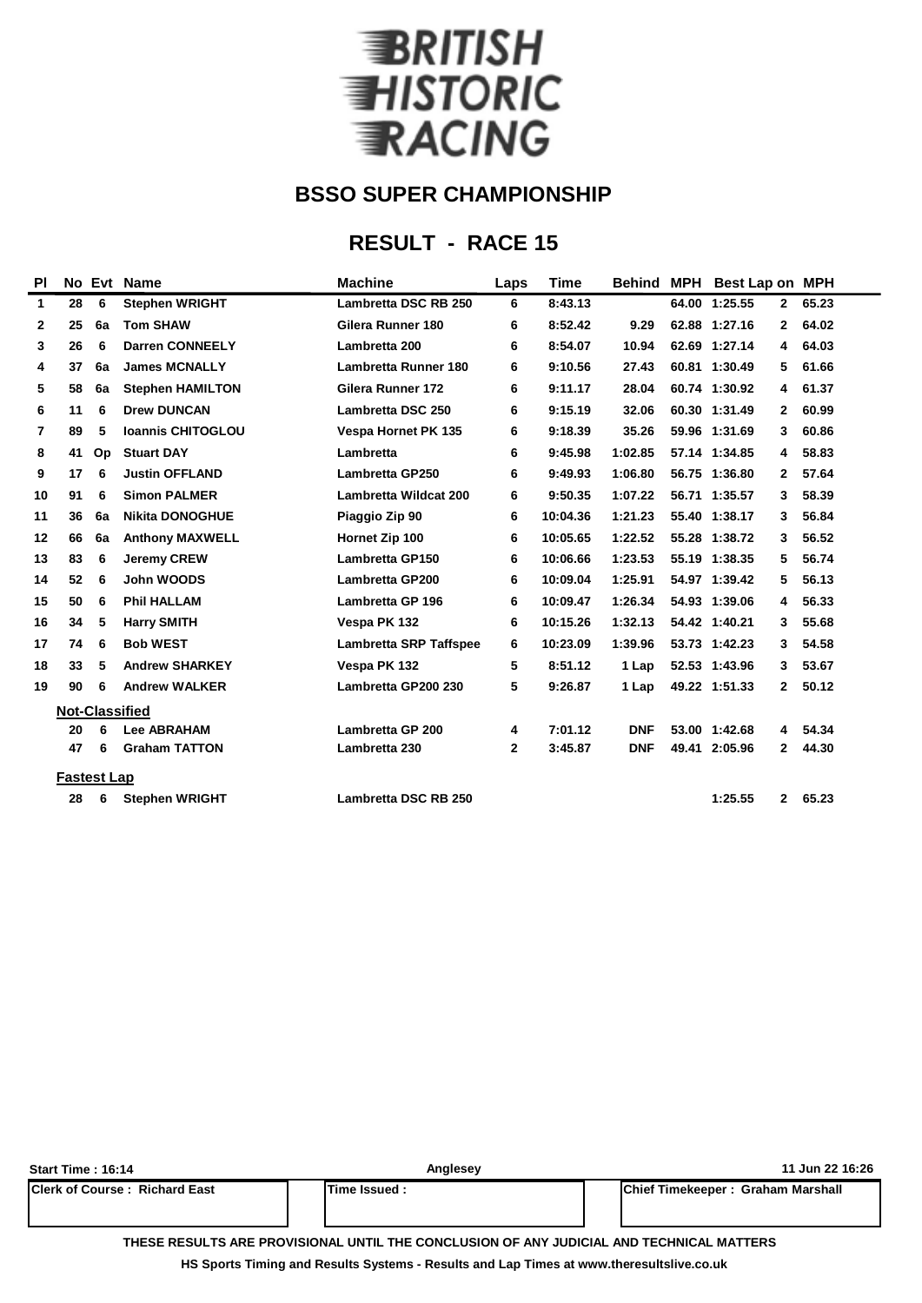

### **RESULT - RACE 15**

| PI           |                    |    | No Evt Name              | <b>Machine</b>                | <b>Time</b><br>Laps |          |            | Behind MPH Best Lap on MPH |              |       |
|--------------|--------------------|----|--------------------------|-------------------------------|---------------------|----------|------------|----------------------------|--------------|-------|
| $\mathbf{1}$ | 28                 | 6  | <b>Stephen WRIGHT</b>    | Lambretta DSC RB 250          | 6                   | 8:43.13  |            | 64.00 1:25.55              | $\mathbf{2}$ | 65.23 |
| $\mathbf{2}$ | 25                 | 6a | <b>Tom SHAW</b>          | Gilera Runner 180             | 6                   | 8:52.42  | 9.29       | 62.88 1:27.16              | $\mathbf{2}$ | 64.02 |
| 3            | 26                 | 6  | <b>Darren CONNEELY</b>   | Lambretta 200                 | 6                   | 8:54.07  | 10.94      | 62.69 1:27.14              | 4            | 64.03 |
| 4            | 37                 | 6a | <b>James MCNALLY</b>     | <b>Lambretta Runner 180</b>   | 6                   | 9:10.56  | 27.43      | 60.81 1:30.49              | 5            | 61.66 |
| 5            | 58                 | 6a | <b>Stephen HAMILTON</b>  | Gilera Runner 172             | 6                   | 9:11.17  | 28.04      | 60.74 1:30.92              | 4            | 61.37 |
| 6            | 11                 | 6  | <b>Drew DUNCAN</b>       | Lambretta DSC 250             | 6                   | 9:15.19  | 32.06      | 60.30 1:31.49              | $\mathbf{2}$ | 60.99 |
| 7            | 89                 | 5  | <b>Ioannis CHITOGLOU</b> | <b>Vespa Hornet PK 135</b>    | 6                   | 9:18.39  | 35.26      | 59.96 1:31.69              | 3            | 60.86 |
| 8            | 41                 | Op | <b>Stuart DAY</b>        | Lambretta                     | 6                   | 9:45.98  | 1:02.85    | 57.14 1:34.85              | 4            | 58.83 |
| 9            | 17                 | 6  | <b>Justin OFFLAND</b>    | <b>Lambretta GP250</b>        | 6                   | 9:49.93  | 1:06.80    | 56.75 1:36.80              | $\mathbf{2}$ | 57.64 |
| 10           | 91                 | 6  | <b>Simon PALMER</b>      | <b>Lambretta Wildcat 200</b>  | 6                   | 9:50.35  | 1:07.22    | 56.71 1:35.57              | 3            | 58.39 |
| 11           | 36                 | 6a | <b>Nikita DONOGHUE</b>   | Piaggio Zip 90                | 6                   | 10:04.36 | 1:21.23    | 55.40 1:38.17              | 3            | 56.84 |
| 12           | 66                 | 6a | <b>Anthony MAXWELL</b>   | Hornet Zip 100                | 6                   | 10:05.65 | 1:22.52    | 55.28 1:38.72              | 3            | 56.52 |
| 13           | 83                 | 6  | <b>Jeremy CREW</b>       | <b>Lambretta GP150</b>        | 6                   | 10:06.66 | 1:23.53    | 55.19 1:38.35              | 5            | 56.74 |
| 14           | 52                 | 6  | John WOODS               | <b>Lambretta GP200</b>        | 6                   | 10:09.04 | 1:25.91    | 54.97 1:39.42              | 5            | 56.13 |
| 15           | 50                 | 6  | <b>Phil HALLAM</b>       | <b>Lambretta GP 196</b>       | 6                   | 10:09.47 | 1:26.34    | 54.93 1:39.06              | 4            | 56.33 |
| 16           | 34                 | 5  | <b>Harry SMITH</b>       | Vespa PK 132                  | 6                   | 10:15.26 | 1:32.13    | 54.42 1:40.21              | 3            | 55.68 |
| 17           | 74                 | 6  | <b>Bob WEST</b>          | <b>Lambretta SRP Taffspee</b> | 6                   | 10:23.09 | 1:39.96    | 53.73 1:42.23              | 3            | 54.58 |
| 18           | 33                 | 5  | <b>Andrew SHARKEY</b>    | Vespa PK 132                  | 5                   | 8:51.12  | 1 Lap      | 52.53 1:43.96              | 3            | 53.67 |
| 19           | 90                 | 6  | <b>Andrew WALKER</b>     | Lambretta GP200 230           | 5                   | 9:26.87  | 1 Lap      | 49.22 1:51.33              | $\mathbf{2}$ | 50.12 |
|              |                    |    | <b>Not-Classified</b>    |                               |                     |          |            |                            |              |       |
|              | 20                 | 6  | <b>Lee ABRAHAM</b>       | Lambretta GP 200              | 4                   | 7:01.12  | <b>DNF</b> | 53.00 1:42.68              | 4            | 54.34 |
|              | 47                 | 6  | <b>Graham TATTON</b>     | Lambretta 230                 | $\mathbf{2}$        | 3:45.87  | <b>DNF</b> | 49.41 2:05.96              | $\mathbf{2}$ | 44.30 |
|              | <b>Fastest Lap</b> |    |                          |                               |                     |          |            |                            |              |       |
|              | 28                 | 6  | <b>Stephen WRIGHT</b>    | Lambretta DSC RB 250          |                     |          |            | 1:25.55                    | $\mathbf{2}$ | 65.23 |
|              |                    |    |                          |                               |                     |          |            |                            |              |       |

| <b>Start Time: 16:14</b>                                                                  | Anglesey       | 11 Jun 22 16:26                   |  |  |  |  |  |  |  |  |
|-------------------------------------------------------------------------------------------|----------------|-----------------------------------|--|--|--|--|--|--|--|--|
| <b>IClerk of Course: Richard East</b>                                                     | lTime Issued : | Chief Timekeeper: Graham Marshall |  |  |  |  |  |  |  |  |
| TUECE DECHLEC ADE DROVICIONAL HNEIL TUE CONOLHCION OF ANY HIDICIAL AND TECHNICAL MATTERS. |                |                                   |  |  |  |  |  |  |  |  |

**THESE RESULTS ARE PROVISIONAL UNTIL THE CONCLUSION OF ANY JUDICIAL AND TECHNICAL MATTERS**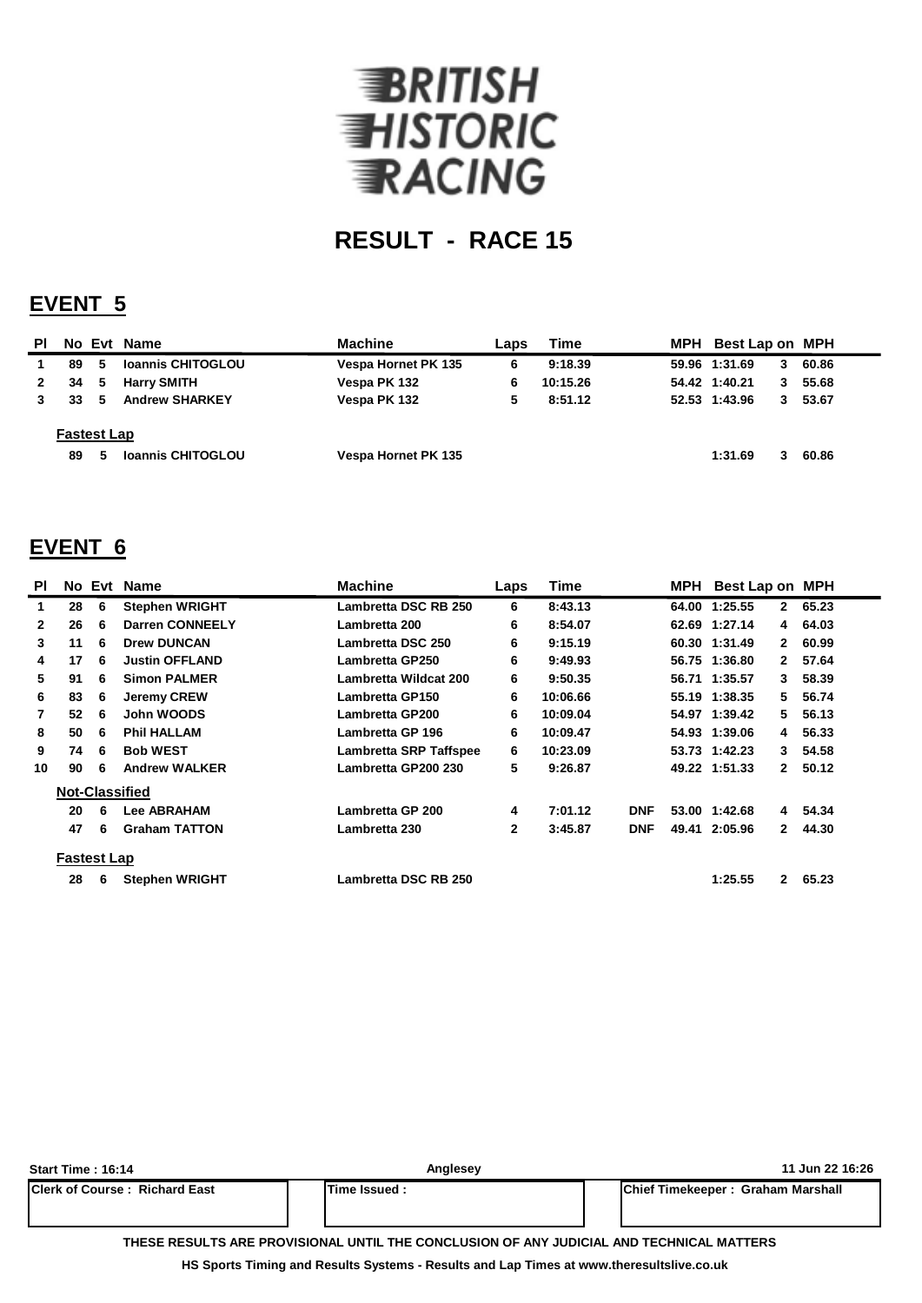

### **EVENT 5**

| PI.          |                    |    | No Evt Name              | <b>Machine</b>      | Laps | Time     | MPH | Best Lap on MPH |   |       |
|--------------|--------------------|----|--------------------------|---------------------|------|----------|-----|-----------------|---|-------|
|              | 89                 | 5  | <b>Ioannis CHITOGLOU</b> | Vespa Hornet PK 135 | 6    | 9:18.39  |     | 59.96 1:31.69   | 3 | 60.86 |
| $\mathbf{2}$ | 34                 | 5  | <b>Harry SMITH</b>       | Vespa PK 132        | 6    | 10:15.26 |     | 54.42 1:40.21   | 3 | 55.68 |
|              | 33                 | -5 | <b>Andrew SHARKEY</b>    | Vespa PK 132        | 5    | 8:51.12  |     | 52.53 1:43.96   | 3 | 53.67 |
|              | <b>Fastest Lap</b> |    |                          |                     |      |          |     |                 |   |       |
|              | 89                 | 5  | <b>Ioannis CHITOGLOU</b> | Vespa Hornet PK 135 |      |          |     | 1:31.69         |   | 60.86 |

### **EVENT 6**

| <b>PI</b>      |                    |   | No Evt Name            | <b>Machine</b>                | <b>Time</b>  |          | MPH Best Lap on MPH |               |              |       |
|----------------|--------------------|---|------------------------|-------------------------------|--------------|----------|---------------------|---------------|--------------|-------|
| 1              | 28                 | 6 | <b>Stephen WRIGHT</b>  | Lambretta DSC RB 250          | 6            | 8:43.13  |                     | 64.00 1:25.55 | $\mathbf{2}$ | 65.23 |
| $\mathbf{2}$   | 26                 | 6 | <b>Darren CONNEELY</b> | Lambretta 200                 | 6            | 8:54.07  |                     | 62.69 1:27.14 | 4            | 64.03 |
| 3              | 11                 | 6 | <b>Drew DUNCAN</b>     | Lambretta DSC 250             | 6            | 9:15.19  |                     | 60.30 1:31.49 | $\mathbf{2}$ | 60.99 |
| 4              | 17                 | 6 | <b>Justin OFFLAND</b>  | Lambretta GP250               | 6            | 9:49.93  |                     | 56.75 1:36.80 | $\mathbf{2}$ | 57.64 |
| 5              | 91                 | 6 | <b>Simon PALMER</b>    | <b>Lambretta Wildcat 200</b>  | 6            | 9:50.35  |                     | 56.71 1:35.57 | 3            | 58.39 |
| 6              | 83                 | 6 | <b>Jeremy CREW</b>     | <b>Lambretta GP150</b>        | 6            | 10:06.66 |                     | 55.19 1:38.35 | 5.           | 56.74 |
| $\overline{7}$ | 52                 | 6 | John WOODS             | <b>Lambretta GP200</b>        | 6            | 10:09.04 |                     | 54.97 1:39.42 | 5            | 56.13 |
| 8              | 50                 | 6 | <b>Phil HALLAM</b>     | Lambretta GP 196              | 6            | 10:09.47 |                     | 54.93 1:39.06 | 4            | 56.33 |
| 9              | 74                 | 6 | <b>Bob WEST</b>        | <b>Lambretta SRP Taffspee</b> | 6            | 10:23.09 |                     | 53.73 1:42.23 | 3            | 54.58 |
| 10             | 90                 | 6 | <b>Andrew WALKER</b>   | Lambretta GP200 230           | 5            | 9:26.87  |                     | 49.22 1:51.33 | $\mathbf{2}$ | 50.12 |
|                |                    |   | <b>Not-Classified</b>  |                               |              |          |                     |               |              |       |
|                | 20                 | 6 | <b>Lee ABRAHAM</b>     | Lambretta GP 200              | 4            | 7:01.12  | <b>DNF</b>          | 53.00 1:42.68 | 4            | 54.34 |
|                | 47                 | 6 | <b>Graham TATTON</b>   | Lambretta 230                 | $\mathbf{2}$ | 3:45.87  | <b>DNF</b>          | 49.41 2:05.96 | $\mathbf{2}$ | 44.30 |
|                | <b>Fastest Lap</b> |   |                        |                               |              |          |                     |               |              |       |
|                | 28                 | 6 | <b>Stephen WRIGHT</b>  | Lambretta DSC RB 250          |              |          |                     | 1:25.55       | $\mathbf{2}$ | 65.23 |

| Start Time: 16:14                                                                        | Anglesev      | 11 Jun 22 16:26                           |  |  |  |  |  |  |  |  |
|------------------------------------------------------------------------------------------|---------------|-------------------------------------------|--|--|--|--|--|--|--|--|
| <b>IClerk of Course: Richard East</b>                                                    | Time Issued : | <b>IChief Timekeeper: Graham Marshall</b> |  |  |  |  |  |  |  |  |
| THESE RESULTS ARE PROVISIONAL UNTIL THE CONCLUSION OF ANY JUDICIAL AND TECHNICAL MATTERS |               |                                           |  |  |  |  |  |  |  |  |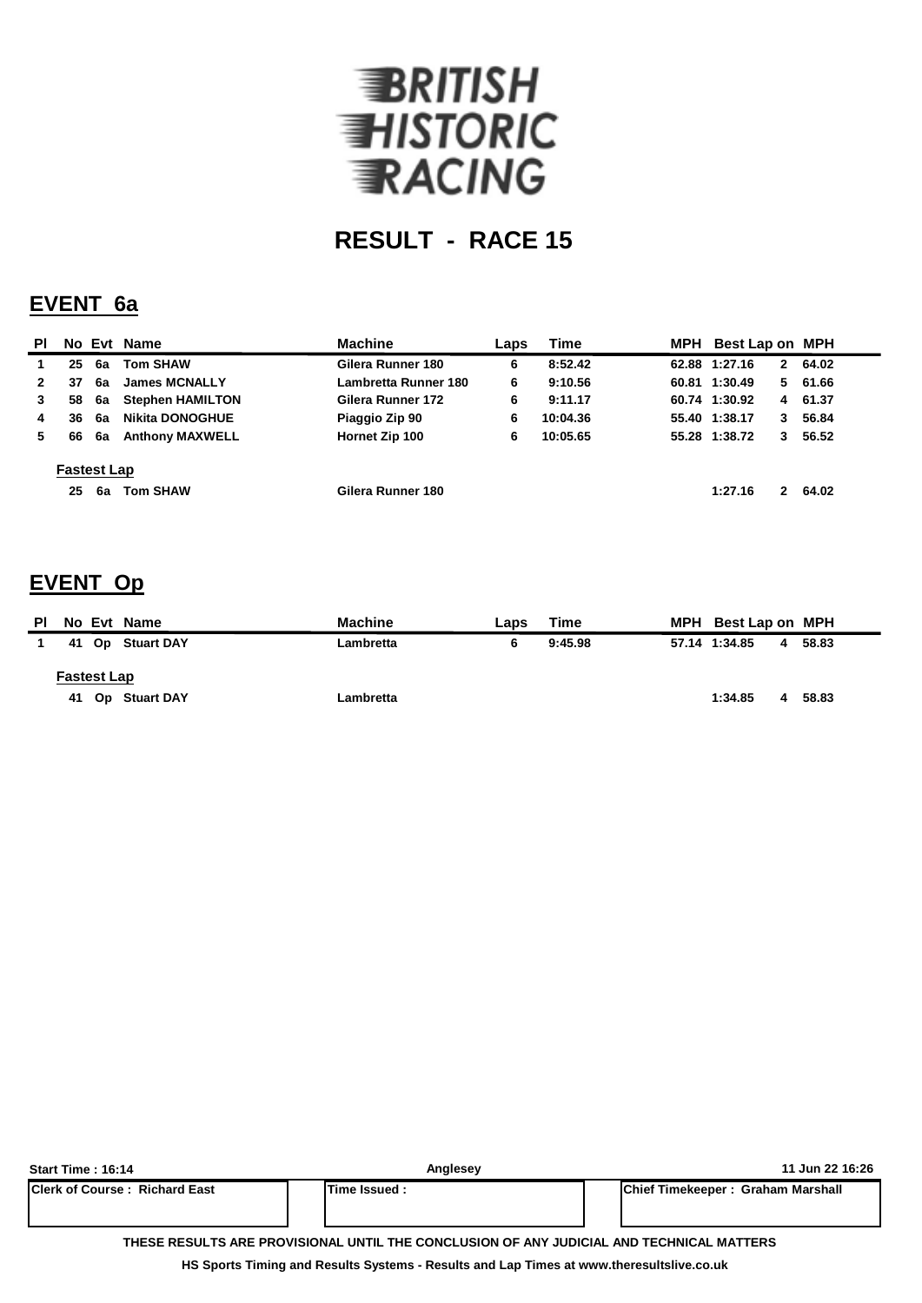

#### **EVENT 6a**

| <b>PI</b>    |                    |    | No Evt Name             | <b>Machine</b>       | Laps | Time     | MPH | Best Lap on MPH |              |         |
|--------------|--------------------|----|-------------------------|----------------------|------|----------|-----|-----------------|--------------|---------|
|              | 25                 | 6a | <b>Tom SHAW</b>         | Gilera Runner 180    | 6    | 8:52.42  |     | 62.88 1:27.16   | $\mathbf{2}$ | 64.02   |
| $\mathbf{2}$ | 37                 | 6a | <b>James MCNALLY</b>    | Lambretta Runner 180 | 6    | 9:10.56  |     | 60.81 1:30.49   |              | 5 61.66 |
| 3            | 58                 | 6а | <b>Stephen HAMILTON</b> | Gilera Runner 172    | 6    | 9:11.17  |     | 60.74 1:30.92   |              | 4 61.37 |
| 4            | 36                 | 6a | <b>Nikita DONOGHUE</b>  | Piaggio Zip 90       | 6    | 10:04.36 |     | 55.40 1:38.17   | 3            | 56.84   |
| 5.           | 66                 | 6а | <b>Anthony MAXWELL</b>  | Hornet Zip 100       | 6    | 10:05.65 |     | 55.28 1:38.72   | 3            | 56.52   |
|              | <b>Fastest Lap</b> |    |                         |                      |      |          |     |                 |              |         |
|              | 25                 | 6а | <b>Tom SHAW</b>         | Gilera Runner 180    |      |          |     | 1:27.16         | $\mathbf{2}$ | 64.02   |

### **EVENT Op**

| ΡI | No Evt Name        | <b>Machine</b> | Laps | Time    | MPH Best Lap on MPH |       |
|----|--------------------|----------------|------|---------|---------------------|-------|
|    | 41 Op Stuart DAY   | Lambretta      | 6    | 9:45.98 | 57.14 1:34.85<br>4  | 58.83 |
|    | <b>Fastest Lap</b> |                |      |         |                     |       |
|    | 41 Op Stuart DAY   | Lambretta      |      |         | 1:34.85<br>4        | 58.83 |

| Start Time: 16:14                                                                        | Anglesev     | 11 Jun 22 16:26                   |  |  |  |  |  |  |  |  |
|------------------------------------------------------------------------------------------|--------------|-----------------------------------|--|--|--|--|--|--|--|--|
| <b>IClerk of Course: Richard East</b>                                                    | Time Issued: | Chief Timekeeper: Graham Marshall |  |  |  |  |  |  |  |  |
|                                                                                          |              |                                   |  |  |  |  |  |  |  |  |
|                                                                                          |              |                                   |  |  |  |  |  |  |  |  |
| THESE RESULTS ARE PROVISIONAL UNTIL THE CONCLUSION OF ANY JUDICIAL AND TECHNICAL MATTERS |              |                                   |  |  |  |  |  |  |  |  |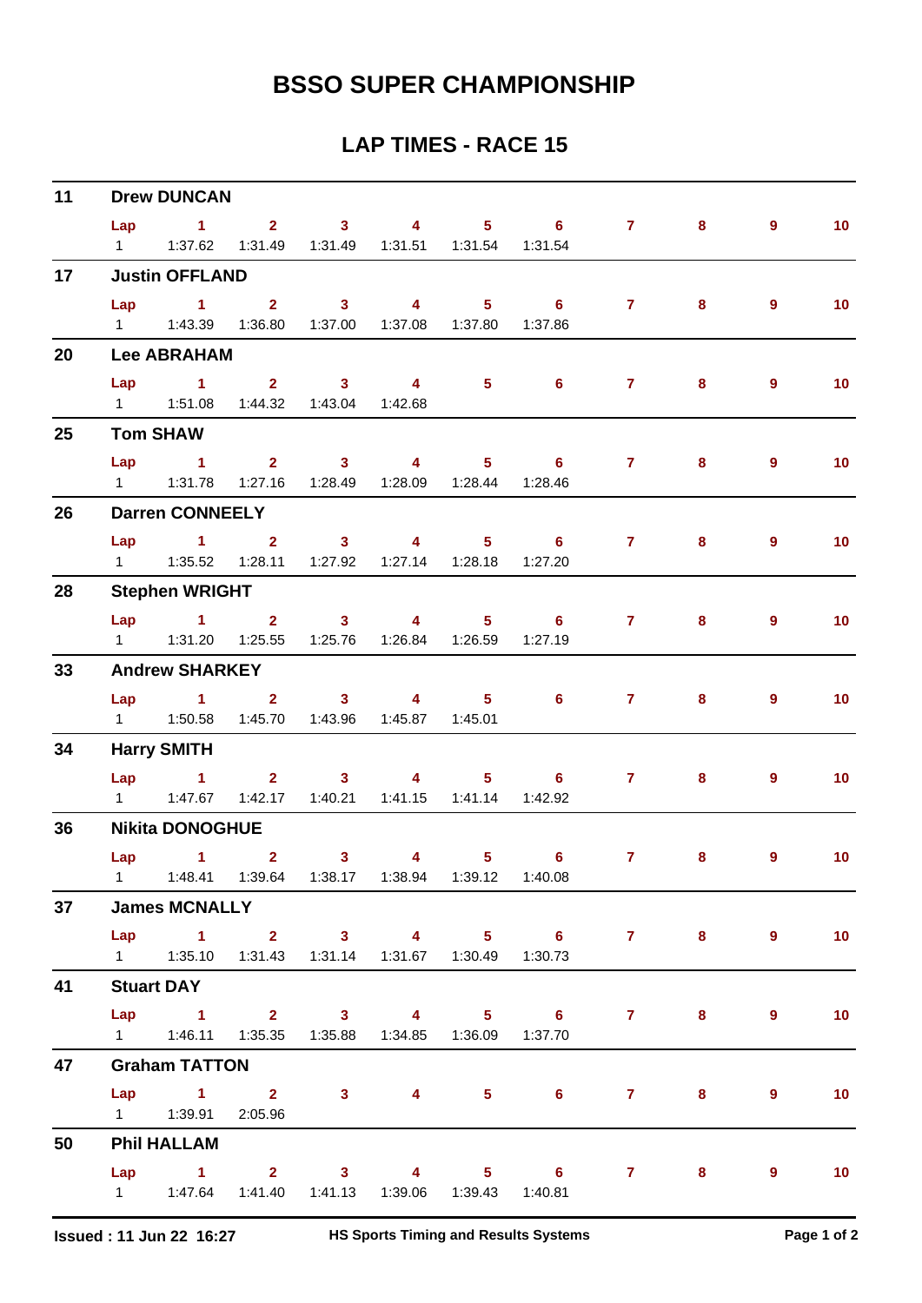| 11 | <b>Drew DUNCAN</b> |                                                                     |                               |                                                      |                         |                                                                                                                                                                                                                                                                                                                                    |                       |                    |   |                |                 |  |  |  |
|----|--------------------|---------------------------------------------------------------------|-------------------------------|------------------------------------------------------|-------------------------|------------------------------------------------------------------------------------------------------------------------------------------------------------------------------------------------------------------------------------------------------------------------------------------------------------------------------------|-----------------------|--------------------|---|----------------|-----------------|--|--|--|
|    | Lap                | $\sim$ $\sim$ 1                                                     | $2 \t 3$                      |                                                      | $\overline{\mathbf{A}}$ |                                                                                                                                                                                                                                                                                                                                    | $5 \t\t 6$            | $\mathbf{7}$       | 8 | $\overline{9}$ | 10 <sub>1</sub> |  |  |  |
|    | $1 \quad \Box$     |                                                                     |                               | 1:37.62  1:31.49  1:31.49  1:31.51  1:31.54  1:31.54 |                         |                                                                                                                                                                                                                                                                                                                                    |                       |                    |   |                |                 |  |  |  |
| 17 |                    | <b>Justin OFFLAND</b>                                               |                               |                                                      |                         |                                                                                                                                                                                                                                                                                                                                    |                       |                    |   |                |                 |  |  |  |
|    |                    | $Lap$ 1 2                                                           |                               | $\sim$ 3                                             | $\overline{\mathbf{4}}$ | $\overline{\phantom{1}}$ 5                                                                                                                                                                                                                                                                                                         | $6\qquad 7$           |                    | 8 | $\overline{9}$ | 10 <sub>1</sub> |  |  |  |
|    |                    |                                                                     |                               | 1:36.80  1:37.00  1:37.08  1:37.80                   |                         |                                                                                                                                                                                                                                                                                                                                    | 1:37.86               |                    |   |                |                 |  |  |  |
| 20 |                    | <b>Lee ABRAHAM</b>                                                  |                               |                                                      |                         |                                                                                                                                                                                                                                                                                                                                    |                       |                    |   |                |                 |  |  |  |
|    | Lap                | $\sim$ 1                                                            | $\overline{2}$ $\overline{3}$ |                                                      | $\overline{\mathbf{4}}$ | $\overline{5}$ 6                                                                                                                                                                                                                                                                                                                   |                       | $\mathbf{7}$       | 8 | 9              | 10 <sub>1</sub> |  |  |  |
|    |                    | 1   1:51.08   1:44.32   1:43.04   1:42.68                           |                               |                                                      |                         |                                                                                                                                                                                                                                                                                                                                    |                       |                    |   |                |                 |  |  |  |
| 25 |                    | <b>Tom SHAW</b>                                                     |                               |                                                      |                         |                                                                                                                                                                                                                                                                                                                                    |                       |                    |   |                |                 |  |  |  |
|    | Lap                | $\sim$ 1.                                                           |                               | 2 3 4 5 6                                            |                         |                                                                                                                                                                                                                                                                                                                                    |                       | 7 <sup>7</sup>     | 8 | $\overline{9}$ | 10 <sub>1</sub> |  |  |  |
|    |                    |                                                                     |                               | 1:27.16  1:28.49  1:28.09  1:28.44  1:28.46          |                         |                                                                                                                                                                                                                                                                                                                                    |                       |                    |   |                |                 |  |  |  |
| 26 |                    | <b>Darren CONNEELY</b>                                              |                               |                                                      |                         |                                                                                                                                                                                                                                                                                                                                    |                       |                    |   |                |                 |  |  |  |
|    | Lap                | $1 \t2 \t3 \t4$                                                     |                               |                                                      |                         |                                                                                                                                                                                                                                                                                                                                    | $5 \t\t 6$            | $7 \pm 1$          | 8 | 9              | 10 <sub>1</sub> |  |  |  |
|    | $1 \quad$          |                                                                     |                               | 1:35.52  1:28.11  1:27.92  1:27.14  1:28.18  1:27.20 |                         |                                                                                                                                                                                                                                                                                                                                    |                       |                    |   |                |                 |  |  |  |
| 28 |                    | <b>Stephen WRIGHT</b>                                               |                               |                                                      |                         |                                                                                                                                                                                                                                                                                                                                    |                       |                    |   |                |                 |  |  |  |
|    |                    | Lap 1 2 3 4                                                         |                               |                                                      |                         |                                                                                                                                                                                                                                                                                                                                    | $5 \t\t 6 \t\t 7$     |                    | 8 | 9              | 10 <sub>1</sub> |  |  |  |
|    |                    |                                                                     | 1:25.55                       |                                                      |                         |                                                                                                                                                                                                                                                                                                                                    | 1:27.19               |                    |   |                |                 |  |  |  |
| 33 |                    | <b>Andrew SHARKEY</b>                                               |                               |                                                      |                         |                                                                                                                                                                                                                                                                                                                                    |                       |                    |   |                |                 |  |  |  |
|    | Lap                | $1 \t2 \t3$                                                         |                               |                                                      |                         | $\overline{4}$ and $\overline{4}$ and $\overline{4}$ and $\overline{4}$ and $\overline{4}$ and $\overline{4}$ and $\overline{4}$ and $\overline{4}$ and $\overline{4}$ and $\overline{4}$ and $\overline{4}$ and $\overline{4}$ and $\overline{4}$ and $\overline{4}$ and $\overline{4}$ and $\overline{4}$ and $\overline{4}$ and | $5 \t\t 6$            | 7 <sup>7</sup>     | 8 | 9              | 10 <sub>1</sub> |  |  |  |
|    |                    | 1   1:50.58   1:45.70   1:43.96   1:45.87   1:45.01                 |                               |                                                      |                         |                                                                                                                                                                                                                                                                                                                                    |                       |                    |   |                |                 |  |  |  |
| 34 |                    | <b>Harry SMITH</b>                                                  |                               |                                                      |                         |                                                                                                                                                                                                                                                                                                                                    |                       |                    |   |                |                 |  |  |  |
|    |                    | $Lap$ 1                                                             |                               | $2 \qquad 3 \qquad 4$                                |                         |                                                                                                                                                                                                                                                                                                                                    | $5 \t\t 6$            | $7 \quad \text{ }$ | 8 | $\overline{9}$ | 10 <sub>1</sub> |  |  |  |
|    |                    | 1 1:47.67                                                           |                               | 1:42.17  1:40.21  1:41.15  1:41.14  1:42.92          |                         |                                                                                                                                                                                                                                                                                                                                    |                       |                    |   |                |                 |  |  |  |
| 36 |                    | <b>Nikita DONOGHUE</b>                                              |                               |                                                      |                         |                                                                                                                                                                                                                                                                                                                                    |                       |                    |   |                |                 |  |  |  |
|    | Lap                | $\sim$ 1.000 $\sim$ 1.000 $\sim$                                    | $\overline{2}$                | 3 <sup>1</sup>                                       |                         | $\overline{\mathbf{4}}$ and $\overline{\mathbf{4}}$                                                                                                                                                                                                                                                                                | $5 \t\t 6$            | $\mathbf{7}$       | 8 | 9              | 10 <sub>1</sub> |  |  |  |
|    |                    | 1   1:48.41   1:39.64   1:38.17   1:38.94   1:39.12   1:40.08       |                               |                                                      |                         |                                                                                                                                                                                                                                                                                                                                    |                       |                    |   |                |                 |  |  |  |
| 37 |                    | <b>James MCNALLY</b>                                                |                               |                                                      |                         |                                                                                                                                                                                                                                                                                                                                    |                       |                    |   |                |                 |  |  |  |
|    |                    |                                                                     |                               |                                                      |                         |                                                                                                                                                                                                                                                                                                                                    | Lap 1 2 3 4 5 6 7 8 9 |                    |   |                | $\sim$ 10       |  |  |  |
|    |                    | 1   1:35.10   1:31.43   1:31.14   1:31.67   1:30.49   1:30.73       |                               |                                                      |                         |                                                                                                                                                                                                                                                                                                                                    |                       |                    |   |                |                 |  |  |  |
| 41 |                    | <b>Stuart DAY</b>                                                   |                               |                                                      |                         |                                                                                                                                                                                                                                                                                                                                    |                       |                    |   |                |                 |  |  |  |
|    |                    |                                                                     |                               |                                                      |                         |                                                                                                                                                                                                                                                                                                                                    | Lap 1 2 3 4 5 6 7 8   |                    |   | 9              | 10              |  |  |  |
|    |                    | 1   1:46.11   1:35.35   1:35.88   1:34.85   1:36.09   1:37.70       |                               |                                                      |                         |                                                                                                                                                                                                                                                                                                                                    |                       |                    |   |                |                 |  |  |  |
| 47 |                    | <b>Graham TATTON</b>                                                |                               |                                                      |                         |                                                                                                                                                                                                                                                                                                                                    |                       |                    |   |                |                 |  |  |  |
|    |                    |                                                                     |                               |                                                      |                         |                                                                                                                                                                                                                                                                                                                                    | Lap 1 2 3 4 5 6 7 8   |                    |   | $\overline{9}$ | 10              |  |  |  |
|    |                    |                                                                     |                               |                                                      |                         |                                                                                                                                                                                                                                                                                                                                    |                       |                    |   |                |                 |  |  |  |
| 50 |                    | <b>Phil HALLAM</b>                                                  |                               |                                                      |                         |                                                                                                                                                                                                                                                                                                                                    |                       |                    |   |                |                 |  |  |  |
|    |                    |                                                                     |                               |                                                      |                         |                                                                                                                                                                                                                                                                                                                                    | Lap 1 2 3 4 5 6 7     |                    | 8 | 9              | $\overline{10}$ |  |  |  |
|    |                    | 1    1:47.64    1:41.40    1:41.13    1:39.06    1:39.43    1:40.81 |                               |                                                      |                         |                                                                                                                                                                                                                                                                                                                                    |                       |                    |   |                |                 |  |  |  |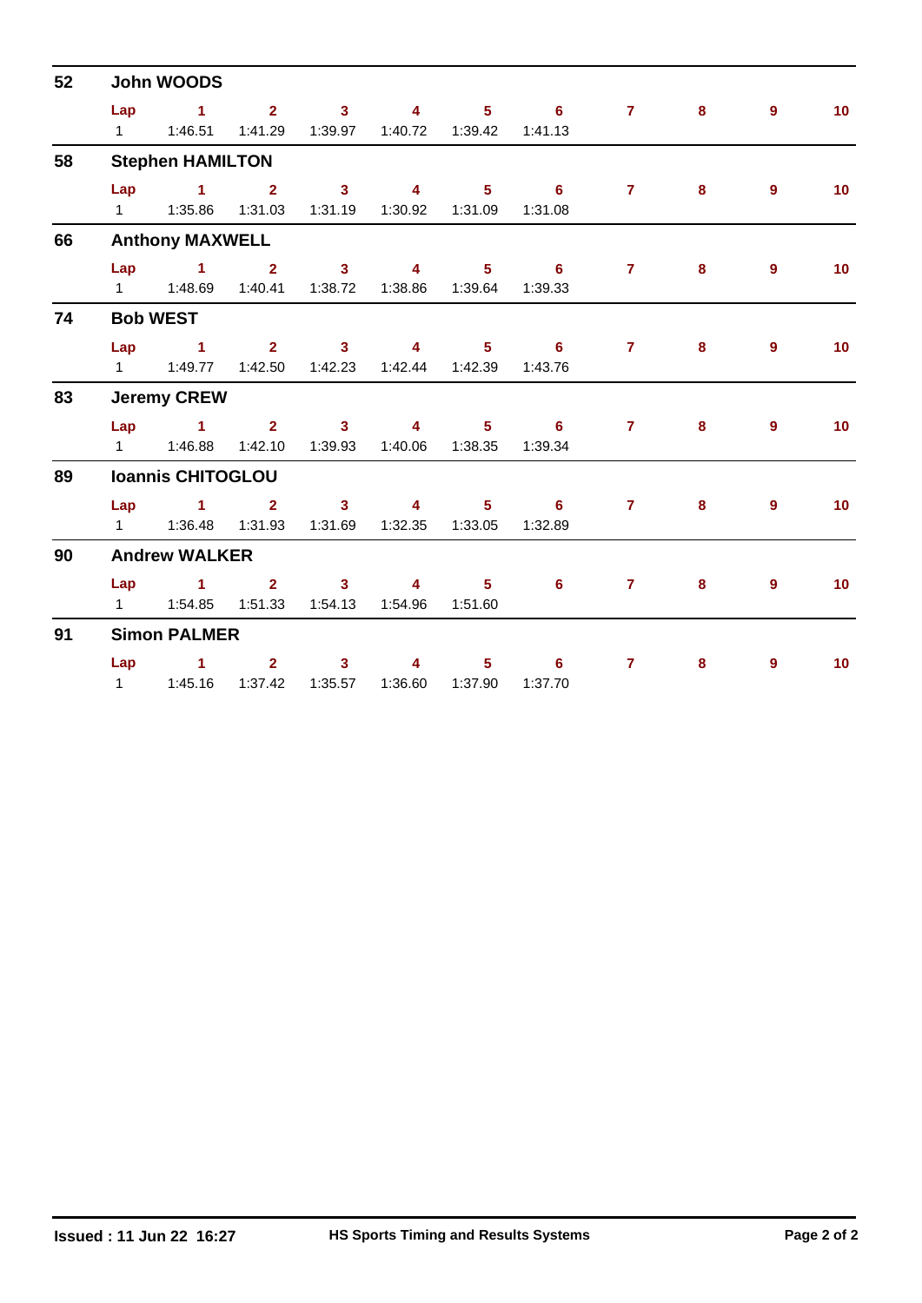| 52 | <b>John WOODS</b> |                                                               |  |                |                  |                                                                                                                                                                                                                                                                                                                                    |                   |                |   |                |                 |  |  |  |
|----|-------------------|---------------------------------------------------------------|--|----------------|------------------|------------------------------------------------------------------------------------------------------------------------------------------------------------------------------------------------------------------------------------------------------------------------------------------------------------------------------------|-------------------|----------------|---|----------------|-----------------|--|--|--|
|    | Lap               | $1 \qquad 2 \qquad 3 \qquad 4 \qquad 5 \qquad 6$              |  |                |                  |                                                                                                                                                                                                                                                                                                                                    |                   | $7 \t 8$       |   | $9^{\circ}$    | 10 <sup>°</sup> |  |  |  |
|    |                   | 1   1:46.51   1:41.29   1:39.97   1:40.72   1:39.42   1:41.13 |  |                |                  |                                                                                                                                                                                                                                                                                                                                    |                   |                |   |                |                 |  |  |  |
| 58 |                   | <b>Stephen HAMILTON</b>                                       |  |                |                  |                                                                                                                                                                                                                                                                                                                                    |                   |                |   |                |                 |  |  |  |
|    |                   |                                                               |  |                |                  |                                                                                                                                                                                                                                                                                                                                    | Lap 1 2 3 4 5 6 7 |                | 8 | $\overline{9}$ | 10 <sup>°</sup> |  |  |  |
|    |                   | 1   1:35.86   1:31.03   1:31.19   1:30.92   1:31.09           |  |                |                  |                                                                                                                                                                                                                                                                                                                                    | 1:31.08           |                |   |                |                 |  |  |  |
| 66 |                   | <b>Anthony MAXWELL</b>                                        |  |                |                  |                                                                                                                                                                                                                                                                                                                                    |                   |                |   |                |                 |  |  |  |
|    |                   | Lap 1 2 3 4 5 6                                               |  |                |                  |                                                                                                                                                                                                                                                                                                                                    |                   | $\overline{7}$ | 8 | $9^{\circ}$    | 10 <sub>1</sub> |  |  |  |
|    |                   | 1   1:48.69   1:40.41   1:38.72                               |  |                | 1:38.86  1:39.64 |                                                                                                                                                                                                                                                                                                                                    | 1:39.33           |                |   |                |                 |  |  |  |
| 74 |                   | <b>Bob WEST</b>                                               |  |                |                  |                                                                                                                                                                                                                                                                                                                                    |                   |                |   |                |                 |  |  |  |
|    |                   | $Lap$ 1                                                       |  |                | $2 \t 3 \t 4$    |                                                                                                                                                                                                                                                                                                                                    | $5 \t\t 6$        | $7^{\circ}$    | 8 | 9 <sup>°</sup> | 10 <sup>°</sup> |  |  |  |
|    |                   | 1   1:49.77   1:42.50   1:42.23   1:42.44   1:42.39           |  |                |                  |                                                                                                                                                                                                                                                                                                                                    | 1:43.76           |                |   |                |                 |  |  |  |
| 83 |                   | <b>Jeremy CREW</b>                                            |  |                |                  |                                                                                                                                                                                                                                                                                                                                    |                   |                |   |                |                 |  |  |  |
|    |                   | Lap 1 2 3 4 5 6                                               |  |                |                  |                                                                                                                                                                                                                                                                                                                                    |                   | $\overline{7}$ | 8 | $\overline{9}$ | 10 <sup>°</sup> |  |  |  |
|    |                   | 1   1:46.88   1:42.10   1:39.93   1:40.06   1:38.35           |  |                |                  |                                                                                                                                                                                                                                                                                                                                    | 1:39.34           |                |   |                |                 |  |  |  |
| 89 |                   | <b>Ioannis CHITOGLOU</b>                                      |  |                |                  |                                                                                                                                                                                                                                                                                                                                    |                   |                |   |                |                 |  |  |  |
|    |                   |                                                               |  |                |                  |                                                                                                                                                                                                                                                                                                                                    | Lap 1 2 3 4 5 6 7 |                | 8 | 9              | 10 <sub>1</sub> |  |  |  |
|    |                   | 1   1:36.48   1:31.93   1:31.69   1:32.35   1:33.05           |  |                |                  |                                                                                                                                                                                                                                                                                                                                    | 1:32.89           |                |   |                |                 |  |  |  |
| 90 |                   | <b>Andrew WALKER</b>                                          |  |                |                  |                                                                                                                                                                                                                                                                                                                                    |                   |                |   |                |                 |  |  |  |
|    |                   | Lap 1 2 3 4 5                                                 |  |                |                  |                                                                                                                                                                                                                                                                                                                                    | $6^{\circ}$       | $7 \pm 7$      | 8 | 9              | 10 <sub>1</sub> |  |  |  |
|    |                   | 1   1:54.85   1:51.33   1:54.13   1:54.96   1:51.60           |  |                |                  |                                                                                                                                                                                                                                                                                                                                    |                   |                |   |                |                 |  |  |  |
| 91 |                   | <b>Simon PALMER</b>                                           |  |                |                  |                                                                                                                                                                                                                                                                                                                                    |                   |                |   |                |                 |  |  |  |
|    |                   | $Lap$ 1 2                                                     |  | 3 <sup>1</sup> |                  | $\overline{4}$ and $\overline{4}$ and $\overline{4}$ and $\overline{4}$ and $\overline{4}$ and $\overline{4}$ and $\overline{4}$ and $\overline{4}$ and $\overline{4}$ and $\overline{4}$ and $\overline{4}$ and $\overline{4}$ and $\overline{4}$ and $\overline{4}$ and $\overline{4}$ and $\overline{4}$ and $\overline{4}$ and | $5^{\circ}$<br>6  | $\mathbf{7}$   | 8 | 9              | 10 <sup>°</sup> |  |  |  |
|    |                   | 1   1:45.16   1:37.42   1:35.57   1:36.60   1:37.90           |  |                |                  |                                                                                                                                                                                                                                                                                                                                    | 1:37.70           |                |   |                |                 |  |  |  |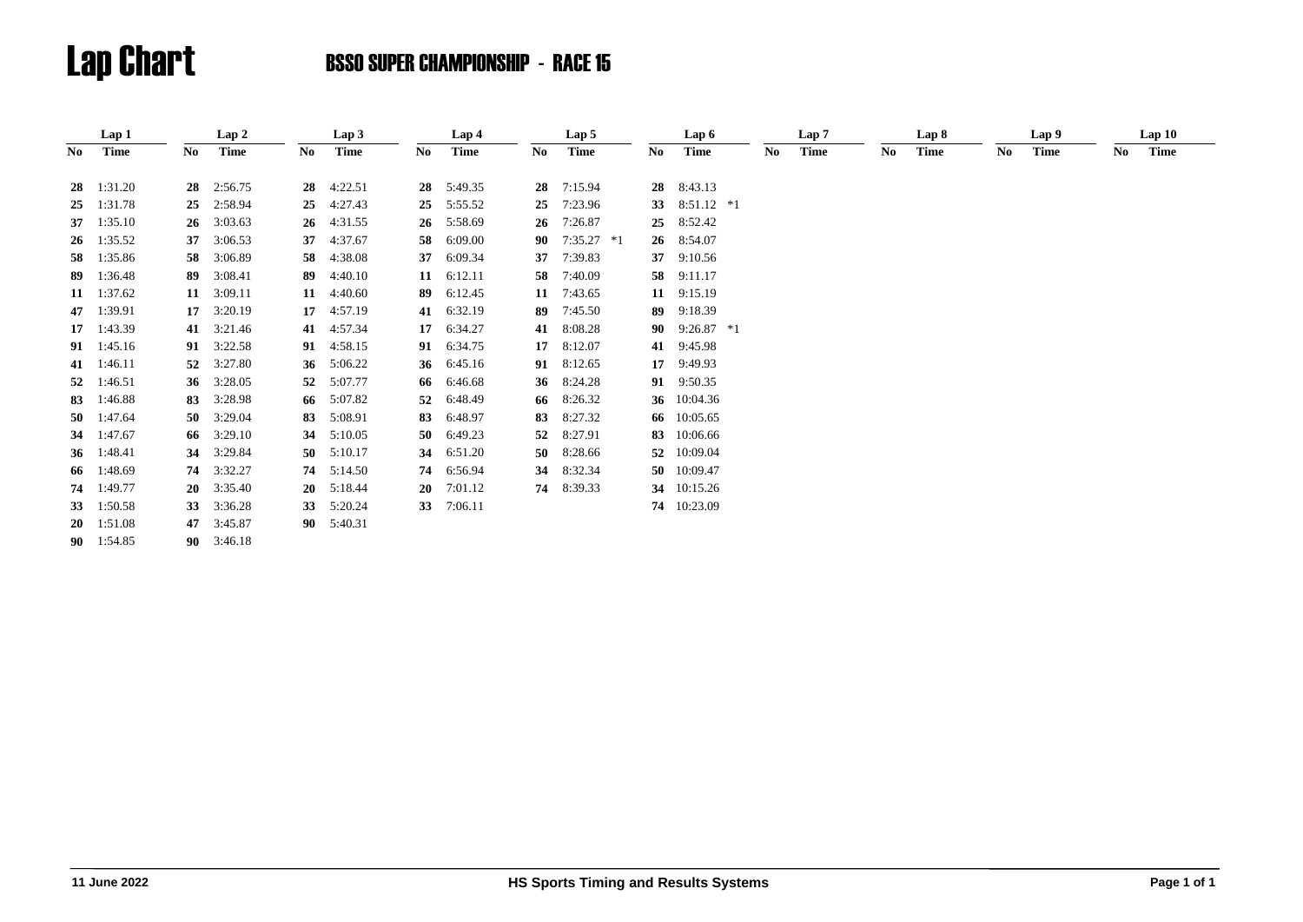|     | Lap 1              |    | Lap2               |    | Lap3               |    | Lap 4   |    | Lap 5        |    | Lap 6           |    | Lap 7 |     | Lap 8       |    | Lap 9       |    | Lap10 |  |
|-----|--------------------|----|--------------------|----|--------------------|----|---------|----|--------------|----|-----------------|----|-------|-----|-------------|----|-------------|----|-------|--|
| No. | Time               | No | Time               | No | <b>Time</b>        | No | Time    | No | <b>Time</b>  | No | Time            | No | Time  | No. | <b>Time</b> | No | <b>Time</b> | No | Time  |  |
|     |                    |    |                    |    |                    |    |         |    |              |    |                 |    |       |     |             |    |             |    |       |  |
| 28  | 1:31.20            | 28 | 2:56.75            | 28 | 4:22.51            | 28 | 5:49.35 | 28 | 7:15.94      | 28 | 8:43.13         |    |       |     |             |    |             |    |       |  |
| 25  | 1:31.78            | 25 | 2:58.94            | 25 | 4:27.43            | 25 | 5:55.52 | 25 | 7:23.96      | 33 | $8:51.12$ *1    |    |       |     |             |    |             |    |       |  |
| 37  | 1:35.10            | 26 | 3:03.63            | 26 | 4:31.55            | 26 | 5:58.69 | 26 | 7:26.87      | 25 | 8:52.42         |    |       |     |             |    |             |    |       |  |
| -26 | 1:35.52            | 37 | 3:06.53            | 37 | 4:37.67            | 58 | 6:09.00 | 90 | $7:35.27$ *1 | 26 | 8:54.07         |    |       |     |             |    |             |    |       |  |
| 58  | 1:35.86            | 58 | 3:06.89            | 58 | 4:38.08            | 37 | 6:09.34 | 37 | 7:39.83      | 37 | 9:10.56         |    |       |     |             |    |             |    |       |  |
| 89  | 1:36.48            | 89 | 3:08.41            | 89 | 4:40.10            | 11 | 6:12.11 | 58 | 7:40.09      | 58 | 9:11.17         |    |       |     |             |    |             |    |       |  |
|     | 11 $1:37.62$       |    | 11 $3:09.11$       | 11 | 4:40.60            | 89 | 6:12.45 | 11 | 7:43.65      | 11 | 9:15.19         |    |       |     |             |    |             |    |       |  |
| 47  | 1:39.91            | 17 | 3:20.19            | 17 | 4:57.19            | 41 | 6:32.19 | 89 | 7:45.50      | 89 | 9:18.39         |    |       |     |             |    |             |    |       |  |
|     | 17 1:43.39         | 41 | 3:21.46            | 41 | 4:57.34            | 17 | 6:34.27 | 41 | 8:08.28      |    | 90 $9:26.87$ *1 |    |       |     |             |    |             |    |       |  |
|     | $91 \quad 1:45.16$ | 91 | 3:22.58            | 91 | 4:58.15            | 91 | 6:34.75 | 17 | 8:12.07      |    | 41 9:45.98      |    |       |     |             |    |             |    |       |  |
|     | 41 1:46.11         | 52 | 3:27.80            | 36 | 5:06.22            | 36 | 6:45.16 |    | 91 8:12.65   | 17 | 9:49.93         |    |       |     |             |    |             |    |       |  |
| 52  | 1:46.51            | 36 | 3:28.05            | 52 | 5:07.77            | 66 | 6:46.68 |    | 36 8:24.28   |    | 91 9:50.35      |    |       |     |             |    |             |    |       |  |
| 83  | 1:46.88            | 83 | 3:28.98            | 66 | 5:07.82            | 52 | 6:48.49 |    | 66 8:26.32   |    | 36 10:04.36     |    |       |     |             |    |             |    |       |  |
| 50  | 1:47.64            | 50 | 3:29.04            | 83 | 5:08.91            | 83 | 6:48.97 | 83 | 8:27.32      |    | 66 10:05.65     |    |       |     |             |    |             |    |       |  |
| 34  | 1:47.67            | 66 | 3:29.10            | 34 | 5:10.05            | 50 | 6:49.23 | 52 | 8:27.91      |    | 83 10:06.66     |    |       |     |             |    |             |    |       |  |
| 36  | 1:48.41            | 34 | 3:29.84            | 50 | 5:10.17            | 34 | 6:51.20 |    | 50 8:28.66   |    | 52 10:09.04     |    |       |     |             |    |             |    |       |  |
| 66  | 1:48.69            | 74 | 3:32.27            |    | 74 5:14.50         | 74 | 6:56.94 |    | 34 8:32.34   |    | 50 10:09.47     |    |       |     |             |    |             |    |       |  |
|     | 74 1:49.77         |    | $20 \quad 3:35.40$ |    | $20 \quad 5:18.44$ | 20 | 7:01.12 |    | 74 8:39.33   |    | 34 10:15.26     |    |       |     |             |    |             |    |       |  |
| 33  | 1:50.58            | 33 | 3:36.28            | 33 | 5:20.24            | 33 | 7:06.11 |    |              |    | 74 10:23.09     |    |       |     |             |    |             |    |       |  |
|     |                    |    |                    |    |                    |    |         |    |              |    |                 |    |       |     |             |    |             |    |       |  |
| 20  | 1:51.08            |    | 47 3:45.87         |    | 90 5:40.31         |    |         |    |              |    |                 |    |       |     |             |    |             |    |       |  |
|     | 90 1:54.85         |    | 90 $3:46.18$       |    |                    |    |         |    |              |    |                 |    |       |     |             |    |             |    |       |  |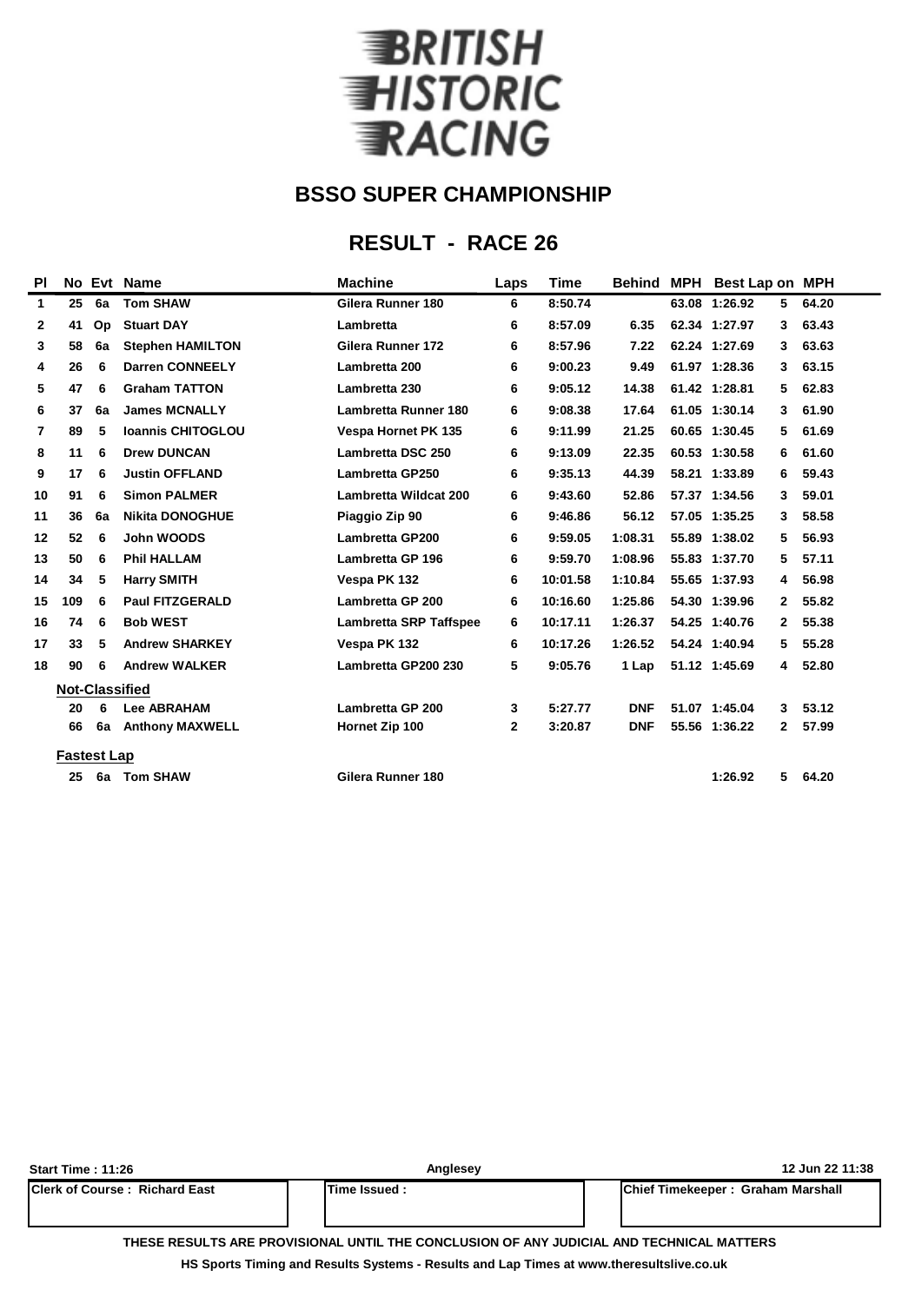

### **RESULT - RACE 26**

| <b>PI</b>      |                       |    | No Evt Name              | <b>Machine</b>                | Laps         | <b>Time</b> | <b>Behind MPH</b> | <b>Best Lap on MPH</b> |              |       |
|----------------|-----------------------|----|--------------------------|-------------------------------|--------------|-------------|-------------------|------------------------|--------------|-------|
| 1              | 25                    | 6a | <b>Tom SHAW</b>          | Gilera Runner 180             | 6            | 8:50.74     |                   | 63.08 1:26.92          | 5.           | 64.20 |
| $\mathbf{2}$   | 41                    | Op | <b>Stuart DAY</b>        | Lambretta                     | 6            | 8:57.09     | 6.35              | 62.34 1:27.97          | 3            | 63.43 |
| 3              | 58                    | 6a | <b>Stephen HAMILTON</b>  | Gilera Runner 172             | 6            | 8:57.96     | 7.22              | 62.24 1:27.69          | 3            | 63.63 |
| 4              | 26                    | 6  | <b>Darren CONNEELY</b>   | Lambretta 200                 | 6            | 9:00.23     | 9.49              | 61.97 1:28.36          | 3            | 63.15 |
| 5              | 47                    | 6  | <b>Graham TATTON</b>     | Lambretta 230                 | 6            | 9:05.12     | 14.38             | 61.42 1:28.81          | 5            | 62.83 |
| 6              | 37                    | 6a | <b>James MCNALLY</b>     | Lambretta Runner 180          | 6            | 9:08.38     | 17.64             | 61.05 1:30.14          | 3            | 61.90 |
| $\overline{7}$ | 89                    | 5  | <b>Ioannis CHITOGLOU</b> | <b>Vespa Hornet PK 135</b>    | 6            | 9:11.99     | 21.25             | 60.65 1:30.45          | 5            | 61.69 |
| 8              | 11                    | 6  | <b>Drew DUNCAN</b>       | Lambretta DSC 250             | 6            | 9:13.09     | 22.35             | 60.53 1:30.58          | 6            | 61.60 |
| 9              | 17                    | 6  | <b>Justin OFFLAND</b>    | <b>Lambretta GP250</b>        | 6            | 9:35.13     | 44.39             | 58.21 1:33.89          | 6            | 59.43 |
| 10             | 91                    | 6  | <b>Simon PALMER</b>      | Lambretta Wildcat 200         | 6            | 9:43.60     | 52.86             | 57.37 1:34.56          | 3            | 59.01 |
| 11             | 36                    | 6a | <b>Nikita DONOGHUE</b>   | Piaggio Zip 90                | 6            | 9:46.86     | 56.12             | 57.05 1:35.25          | 3            | 58.58 |
| 12             | 52                    | 6  | John WOODS               | <b>Lambretta GP200</b>        | 6            | 9:59.05     | 1:08.31           | 55.89 1:38.02          | 5            | 56.93 |
| 13             | 50                    | 6  | <b>Phil HALLAM</b>       | Lambretta GP 196              | 6            | 9:59.70     | 1:08.96           | 55.83 1:37.70          | 5            | 57.11 |
| 14             | 34                    | 5  | <b>Harry SMITH</b>       | Vespa PK 132                  | 6            | 10:01.58    | 1:10.84           | 55.65 1:37.93          | 4            | 56.98 |
| 15             | 109                   | 6  | <b>Paul FITZGERALD</b>   | Lambretta GP 200              | 6            | 10:16.60    | 1:25.86           | 54.30 1:39.96          | $\mathbf{2}$ | 55.82 |
| 16             | 74                    | 6  | <b>Bob WEST</b>          | <b>Lambretta SRP Taffspee</b> | 6            | 10:17.11    | 1:26.37           | 54.25 1:40.76          | $\mathbf{2}$ | 55.38 |
| 17             | 33                    | 5  | <b>Andrew SHARKEY</b>    | Vespa PK 132                  | 6            | 10:17.26    | 1:26.52           | 54.24 1:40.94          | 5            | 55.28 |
| 18             | 90                    | 6  | <b>Andrew WALKER</b>     | Lambretta GP200 230           | 5            | 9:05.76     | 1 Lap             | 51.12 1:45.69          | 4            | 52.80 |
|                | <b>Not-Classified</b> |    |                          |                               |              |             |                   |                        |              |       |
|                | 20                    | 6  | <b>Lee ABRAHAM</b>       | Lambretta GP 200              | 3            | 5:27.77     | <b>DNF</b>        | 51.07 1:45.04          | 3            | 53.12 |
|                | 66                    | 6a | <b>Anthony MAXWELL</b>   | Hornet Zip 100                | $\mathbf{2}$ | 3:20.87     | <b>DNF</b>        | 55.56 1:36.22          | $\mathbf{2}$ | 57.99 |
|                | <b>Fastest Lap</b>    |    |                          |                               |              |             |                   |                        |              |       |
|                | 25                    | 6a | <b>Tom SHAW</b>          | Gilera Runner 180             |              |             |                   | 1:26.92                | 5            | 64.20 |
|                |                       |    |                          |                               |              |             |                   |                        |              |       |

| <b>Start Time: 11:26</b>               | Anglesey             | 12 Jun 22 11:38 |                                   |  |  |  |  |
|----------------------------------------|----------------------|-----------------|-----------------------------------|--|--|--|--|
| <b>IClerk of Course : Richard East</b> | <b>ITime Issued:</b> |                 | Chief Timekeeper: Graham Marshall |  |  |  |  |
|                                        |                      |                 |                                   |  |  |  |  |

**THESE RESULTS ARE PROVISIONAL UNTIL THE CONCLUSION OF ANY JUDICIAL AND TECHNICAL MATTERS**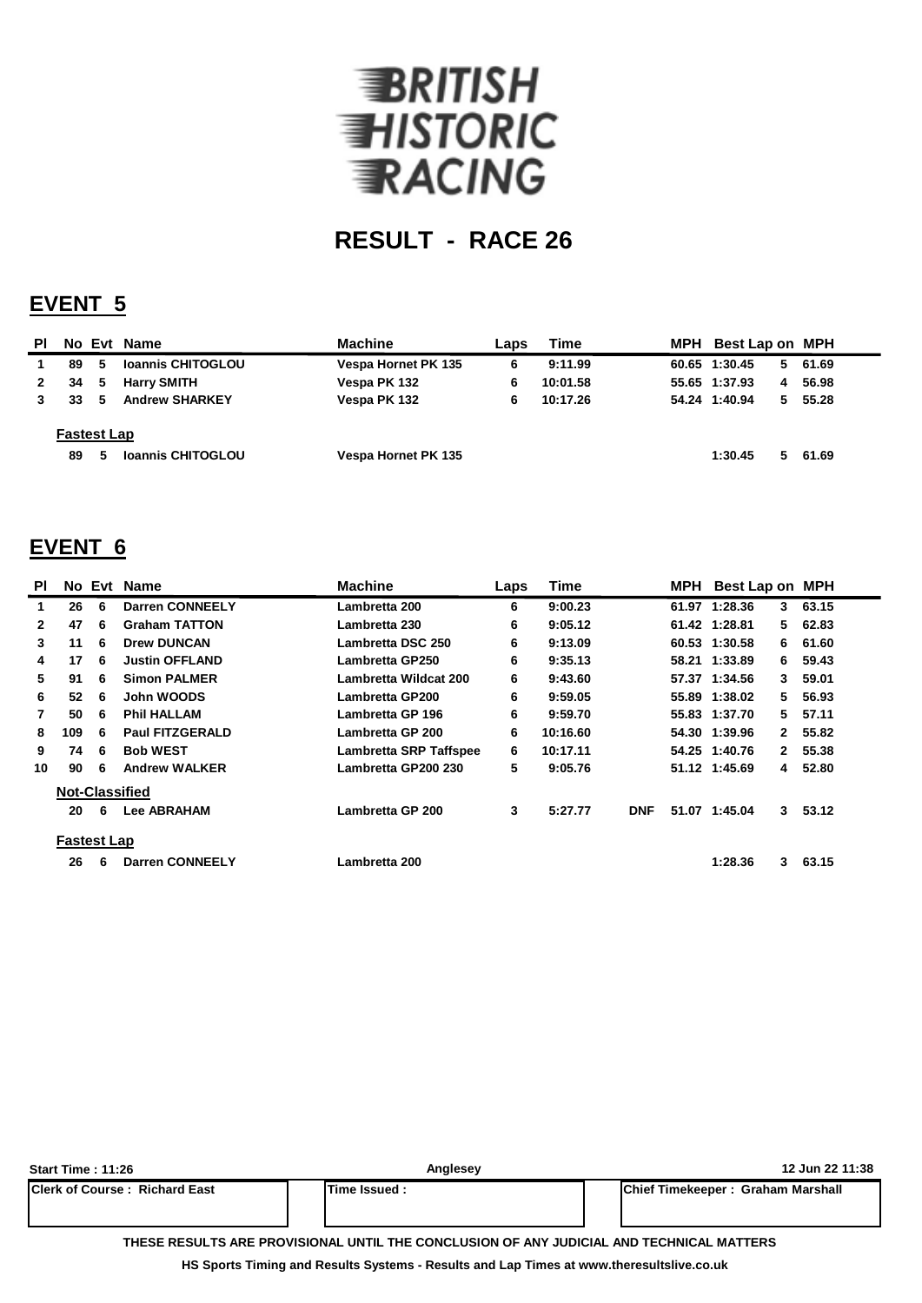

### **EVENT 5**

| PI.                |    |   | No Evt Name              | <b>Machine</b>      | Laps | Time     |  | MPH Best Lap on MPH |    |         |
|--------------------|----|---|--------------------------|---------------------|------|----------|--|---------------------|----|---------|
|                    | 89 | 5 | <b>Ioannis CHITOGLOU</b> | Vespa Hornet PK 135 | 6    | 9:11.99  |  | 60.65 1:30.45       |    | 5 61.69 |
| $\mathbf{2}$       | 34 | 5 | <b>Harry SMITH</b>       | Vespa PK 132        | 6    | 10:01.58 |  | 55.65 1:37.93       | 4  | 56.98   |
|                    | 33 | 5 | <b>Andrew SHARKEY</b>    | Vespa PK 132        | 6    | 10:17.26 |  | 54.24 1:40.94       | 5. | 55.28   |
| <b>Fastest Lap</b> |    |   |                          |                     |      |          |  |                     |    |         |
|                    | 89 | 5 | <b>Ioannis CHITOGLOU</b> | Vespa Hornet PK 135 |      |          |  | 1:30.45             | 5. | 61.69   |

### **EVENT 6**

| <b>PI</b>    |                    |   | No Evt Name            | <b>Machine</b>                | Laps | <b>Time</b> |            | MPH Best Lap on MPH |              |       |
|--------------|--------------------|---|------------------------|-------------------------------|------|-------------|------------|---------------------|--------------|-------|
| 1.           | 26                 | 6 | <b>Darren CONNEELY</b> | Lambretta 200                 | 6    | 9:00.23     |            | 61.97 1:28.36       | 3            | 63.15 |
| $\mathbf{2}$ | 47                 | 6 | <b>Graham TATTON</b>   | Lambretta 230                 | 6    | 9:05.12     |            | 61.42 1:28.81       | 5.           | 62.83 |
| 3            | 11                 | 6 | <b>Drew DUNCAN</b>     | Lambretta DSC 250             | 6    | 9:13.09     |            | 60.53 1:30.58       | 6.           | 61.60 |
| 4            | 17                 | 6 | <b>Justin OFFLAND</b>  | Lambretta GP250               | 6    | 9:35.13     |            | 58.21 1:33.89       | 6.           | 59.43 |
| 5            | 91                 | 6 | <b>Simon PALMER</b>    | Lambretta Wildcat 200         | 6    | 9:43.60     |            | 57.37 1:34.56       | 3            | 59.01 |
| 6            | 52                 | 6 | John WOODS             | Lambretta GP200               | 6    | 9:59.05     |            | 55.89 1:38.02       | 5.           | 56.93 |
| 7            | 50                 | 6 | <b>Phil HALLAM</b>     | Lambretta GP 196              | 6    | 9:59.70     |            | 55.83 1:37.70       | 5.           | 57.11 |
| 8            | 109                | 6 | <b>Paul FITZGERALD</b> | Lambretta GP 200              | 6    | 10:16.60    |            | 54.30 1:39.96       | $\mathbf{2}$ | 55.82 |
| 9            | 74                 | 6 | <b>Bob WEST</b>        | <b>Lambretta SRP Taffspee</b> | 6    | 10:17.11    |            | 54.25 1:40.76       | $\mathbf{2}$ | 55.38 |
| 10           | 90                 | 6 | <b>Andrew WALKER</b>   | Lambretta GP200 230           | 5    | 9:05.76     |            | 51.12 1:45.69       | 4            | 52.80 |
|              |                    |   | <b>Not-Classified</b>  |                               |      |             |            |                     |              |       |
|              | 20                 | 6 | <b>Lee ABRAHAM</b>     | Lambretta GP 200              | 3    | 5:27.77     | <b>DNF</b> | 51.07 1:45.04       | $3 -$        | 53.12 |
|              | <b>Fastest Lap</b> |   |                        |                               |      |             |            |                     |              |       |
|              | 26                 | 6 | <b>Darren CONNEELY</b> | Lambretta 200                 |      |             |            | 1:28.36             | 3            | 63.15 |

| Start Time : 11:26                    | Anglesey                                                                                 | 12 Jun 22 11:38                           |
|---------------------------------------|------------------------------------------------------------------------------------------|-------------------------------------------|
| <b>IClerk of Course: Richard East</b> | <b>ITime Issued:</b>                                                                     | <b>IChief Timekeeper: Graham Marshall</b> |
|                                       | THESE RESULTS ARE PROVISIONAL UNTIL THE CONCLUSION OF ANY JUDICIAL AND TECHNICAL MATTERS |                                           |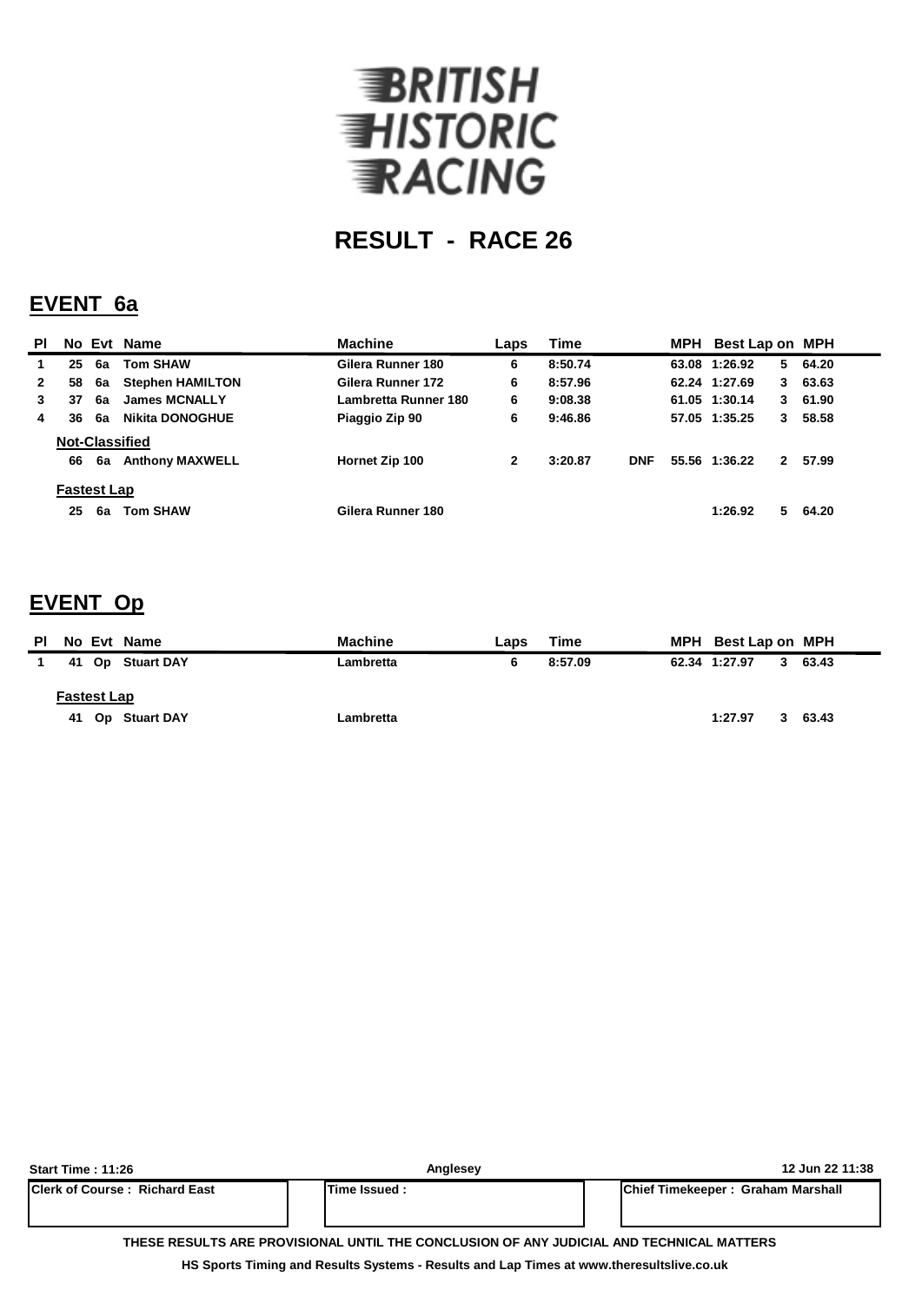

#### **EVENT 6a**

| <b>PI</b>    |                    |    | No Evt Name             | <b>Machine</b>       | Laps | <b>Time</b> |            | MPH | Best Lap on MPH |             |         |
|--------------|--------------------|----|-------------------------|----------------------|------|-------------|------------|-----|-----------------|-------------|---------|
| 1            | 25                 | 6a | <b>Tom SHAW</b>         | Gilera Runner 180    | 6    | 8:50.74     |            |     | 63.08 1:26.92   | 5.          | 64.20   |
| $\mathbf{2}$ | 58                 | 6a | <b>Stephen HAMILTON</b> | Gilera Runner 172    | 6    | 8:57.96     |            |     | 62.24 1:27.69   | 3           | 63.63   |
| 3            | 37                 | 6a | <b>James MCNALLY</b>    | Lambretta Runner 180 | 6    | 9:08.38     |            |     | 61.05 1:30.14   |             | 3 61.90 |
| 4            | 36                 | 6a | <b>Nikita DONOGHUE</b>  | Piaggio Zip 90       | 6    | 9:46.86     |            |     | 57.05 1:35.25   | $3^{\circ}$ | 58.58   |
|              |                    |    | <b>Not-Classified</b>   |                      |      |             |            |     |                 |             |         |
|              | 66                 | 6а | <b>Anthony MAXWELL</b>  | Hornet Zip 100       | 2    | 3:20.87     | <b>DNF</b> |     | 55.56 1:36.22   | $2^{\circ}$ | 57.99   |
|              | <b>Fastest Lap</b> |    |                         |                      |      |             |            |     |                 |             |         |
|              | 25                 | 6a | <b>Tom SHAW</b>         | Gilera Runner 180    |      |             |            |     | 1:26.92         | 5.          | 64.20   |

### **EVENT Op**

| ΡI | No Evt Name        |                  | <b>Machine</b> | Laps | Time    | MPH Best Lap on MPH |   |         |
|----|--------------------|------------------|----------------|------|---------|---------------------|---|---------|
|    |                    | 41 Op Stuart DAY | Lambretta      |      | 8:57.09 | 62.34 1:27.97       |   | 3 63.43 |
|    | <b>Fastest Lap</b> | 41 Op Stuart DAY | Lambretta      |      |         | 1:27.97             | 3 | 63.43   |

| <b>Start Time: 11:26</b>                                                                 | Anglesev     | 12 Jun 22 11:38                   |  |  |  |  |  |  |  |  |
|------------------------------------------------------------------------------------------|--------------|-----------------------------------|--|--|--|--|--|--|--|--|
| <b>IClerk of Course: Richard East</b>                                                    | Time Issued: | Chief Timekeeper: Graham Marshall |  |  |  |  |  |  |  |  |
|                                                                                          |              |                                   |  |  |  |  |  |  |  |  |
|                                                                                          |              |                                   |  |  |  |  |  |  |  |  |
| THESE RESULTS ARE PROVISIONAL UNTIL THE CONCLUSION OF ANY JUDICIAL AND TECHNICAL MATTERS |              |                                   |  |  |  |  |  |  |  |  |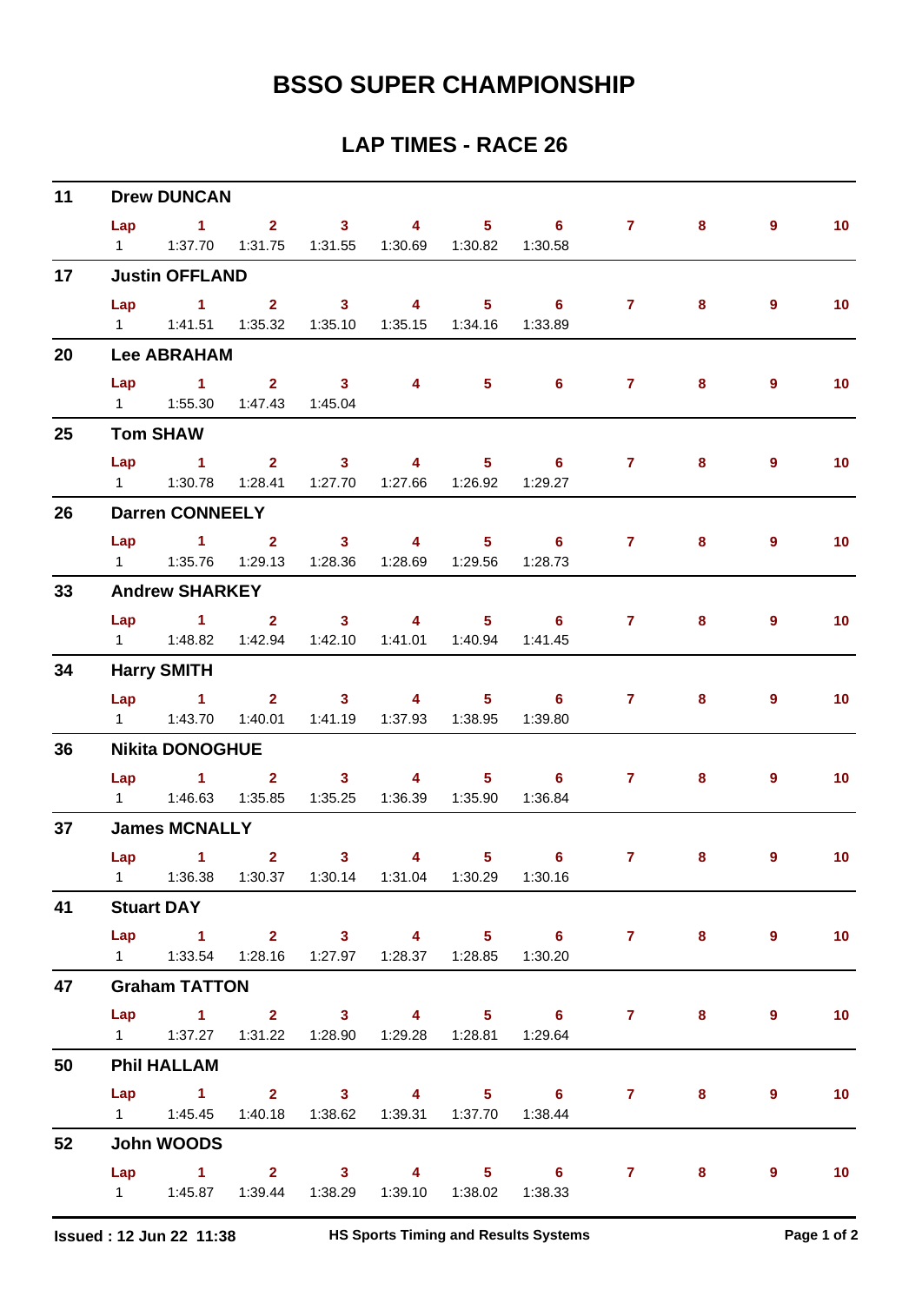| 11 |     | <b>Drew DUNCAN</b>                                                  |                               |                                             |          |                         |                                             |                |   |                |                 |
|----|-----|---------------------------------------------------------------------|-------------------------------|---------------------------------------------|----------|-------------------------|---------------------------------------------|----------------|---|----------------|-----------------|
|    | Lap | $1 \t2 \t3 \t4$                                                     |                               |                                             |          |                         | $5 \t\t 6$                                  | $\mathbf{7}$   | 8 | $\overline{9}$ | 10 <sup>°</sup> |
|    |     | 1   1:37.70   1:31.75   1:31.55   1:30.69   1:30.82   1:30.58       |                               |                                             |          |                         |                                             |                |   |                |                 |
| 17 |     | <b>Justin OFFLAND</b>                                               |                               |                                             |          |                         |                                             |                |   |                |                 |
|    |     | Lap 1 2 3                                                           |                               |                                             | $\sim$ 4 |                         | 5 6 7                                       |                | 8 | $\overline{9}$ | 10 <sup>°</sup> |
|    |     | 1   1:41.51   1:35.32   1:35.10   1:35.15   1:34.16                 |                               |                                             |          |                         | 1:33.89                                     |                |   |                |                 |
| 20 |     | <b>Lee ABRAHAM</b>                                                  |                               |                                             |          |                         |                                             |                |   |                |                 |
|    | Lap | $\sim$ 1.                                                           | $\overline{2}$ $\overline{3}$ |                                             | 4        | $5 -$                   | $\overline{\phantom{a}}$ 6                  | 7 <sup>7</sup> | 8 | 9              | 10 <sub>1</sub> |
|    |     | 1   1:55.30   1:47.43   1:45.04                                     |                               |                                             |          |                         |                                             |                |   |                |                 |
| 25 |     | <b>Tom SHAW</b>                                                     |                               |                                             |          |                         |                                             |                |   |                |                 |
|    | Lap | $\sim$ 1                                                            |                               | 2 3 4 5 6                                   |          |                         |                                             | $7 \pm 1$      | 8 | $\overline{9}$ | 10 <sub>1</sub> |
|    |     |                                                                     |                               | 1:28.41  1:27.70  1:27.66  1:26.92  1:29.27 |          |                         |                                             |                |   |                |                 |
| 26 |     | <b>Darren CONNEELY</b>                                              |                               |                                             |          |                         |                                             |                |   |                |                 |
|    | Lap |                                                                     |                               |                                             |          |                         | $1$ and $2$ and $3$ and $4$ and $5$ b and 6 | $7 \pm 1$      | 8 | 9              | 10 <sub>1</sub> |
|    |     | 1   1:35.76   1:29.13   1:28.36   1:28.69   1:29.56   1:28.73       |                               |                                             |          |                         |                                             |                |   |                |                 |
| 33 |     | <b>Andrew SHARKEY</b>                                               |                               |                                             |          |                         |                                             |                |   |                |                 |
|    |     |                                                                     |                               |                                             |          |                         | Lap 1 2 3 4 5 6 7                           |                | 8 | 9              | 10 <sub>1</sub> |
|    |     | 1   1:48.82   1:42.94   1:42.10   1:41.01   1:40.94   1:41.45       |                               |                                             |          |                         |                                             |                |   |                |                 |
| 34 |     | <b>Harry SMITH</b>                                                  |                               |                                             |          |                         |                                             |                |   |                |                 |
|    |     | Lap 1                                                               |                               | $2 \t 3 \t 4$                               |          |                         | $5 \t\t 6$                                  | $7 \pm 1$      | 8 | 9              | 10 <sub>1</sub> |
|    |     | 1   1:43.70   1:40.01   1:41.19   1:37.93   1:38.95   1:39.80       |                               |                                             |          |                         |                                             |                |   |                |                 |
| 36 |     | <b>Nikita DONOGHUE</b>                                              |                               |                                             |          |                         |                                             |                |   |                |                 |
|    |     |                                                                     |                               |                                             |          |                         | Lap 1 2 3 4 5 6                             | $7 \pm 1$      | 8 | $\overline{9}$ | 10 <sub>1</sub> |
|    |     | 1   1:46.63   1:35.85   1:35.25   1:36.39   1:35.90   1:36.84       |                               |                                             |          |                         |                                             |                |   |                |                 |
| 37 |     | <b>James MCNALLY</b>                                                |                               |                                             |          |                         |                                             |                |   |                |                 |
|    |     | Lap 1                                                               | $\overline{\mathbf{2}}$       | 3 <sup>1</sup>                              |          | $\overline{\mathbf{4}}$ | $5 \t\t 6$                                  | $\mathbf{7}$   | 8 | 9              | 10              |
|    |     | 1   1:36.38   1:30.37   1:30.14   1:31.04   1:30.29   1:30.16       |                               |                                             |          |                         |                                             |                |   |                |                 |
| 41 |     | <b>Stuart DAY</b>                                                   |                               |                                             |          |                         |                                             |                |   |                |                 |
|    |     |                                                                     |                               |                                             |          |                         | Lap 1 2 3 4 5 6 7 8                         |                |   | $\overline{9}$ | 10              |
|    |     | 1   1:33.54   1:28.16   1:27.97   1:28.37   1:28.85   1:30.20       |                               |                                             |          |                         |                                             |                |   |                |                 |
| 47 |     | <b>Graham TATTON</b>                                                |                               |                                             |          |                         |                                             |                |   |                |                 |
|    |     |                                                                     |                               |                                             |          |                         | Lap 1 2 3 4 5 6 7                           |                | 8 | 9              | 10              |
|    |     | 1   1:37.27   1:31.22   1:28.90   1:29.28   1:28.81   1:29.64       |                               |                                             |          |                         |                                             |                |   |                |                 |
| 50 |     | <b>Phil HALLAM</b>                                                  |                               |                                             |          |                         |                                             |                |   |                |                 |
|    |     |                                                                     |                               |                                             |          |                         | Lap 1 2 3 4 5 6 7 8                         |                |   | $\overline{9}$ | 10 <sub>1</sub> |
|    |     | 1    1:45.45    1:40.18    1:38.62    1:39.31    1:37.70    1:38.44 |                               |                                             |          |                         |                                             |                |   |                |                 |
| 52 |     | John WOODS                                                          |                               |                                             |          |                         |                                             |                |   |                |                 |
|    |     |                                                                     |                               |                                             |          |                         | Lap 1 2 3 4 5 6 7 8                         |                |   | 9              | 10              |
|    |     | 1 $1:45.87$ $1:39.44$ $1:38.29$ $1:39.10$ $1:38.02$ $1:38.33$       |                               |                                             |          |                         |                                             |                |   |                |                 |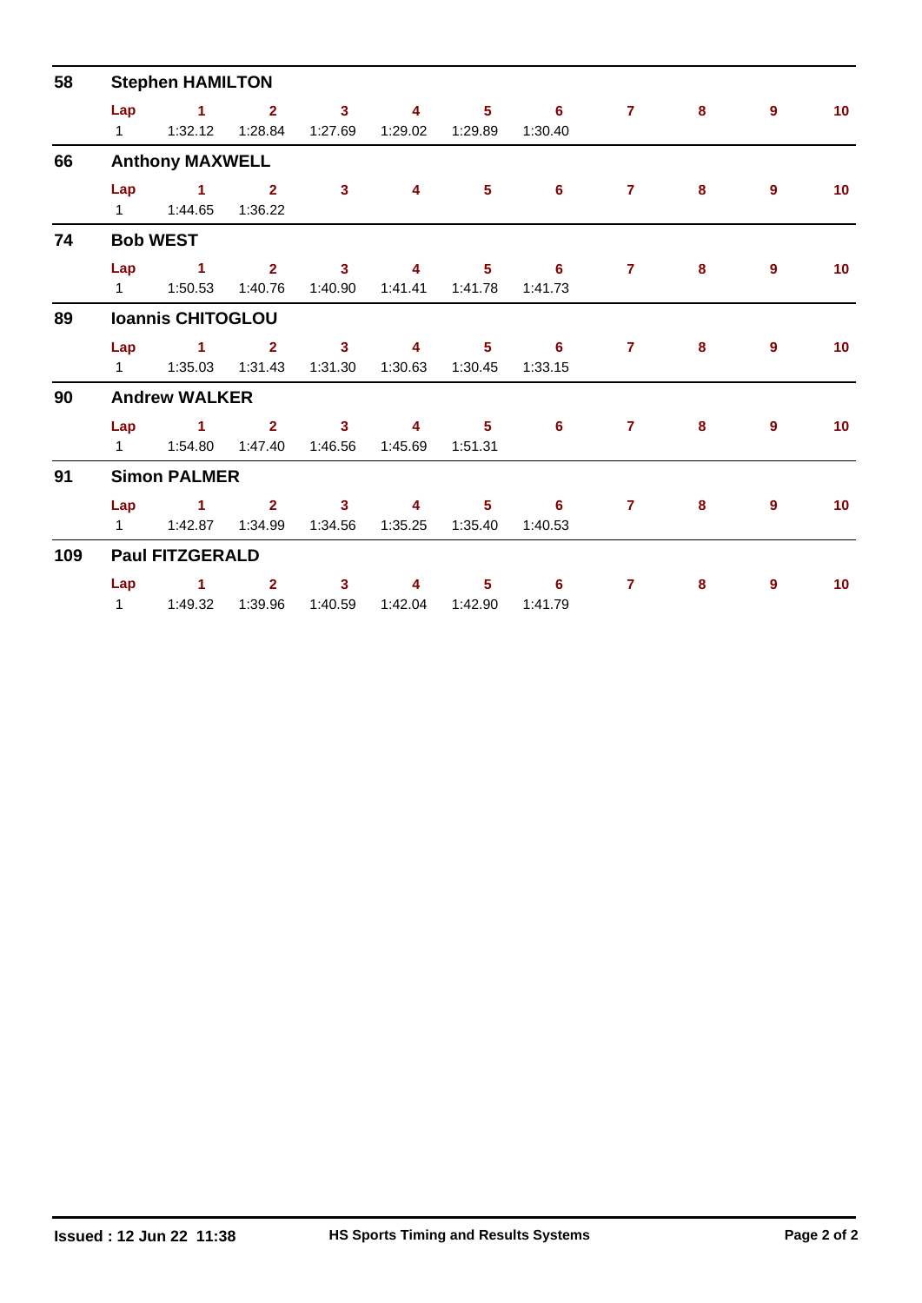| 58  | <b>Stephen HAMILTON</b> |                                    |                     |                                    |                         |                           |                                       |                |   |                |                 |  |  |
|-----|-------------------------|------------------------------------|---------------------|------------------------------------|-------------------------|---------------------------|---------------------------------------|----------------|---|----------------|-----------------|--|--|
|     |                         | Lap $1$ 2                          |                     | $\overline{\mathbf{3}}$<br>1:27.69 | 4<br>1:29.02            | 5 <sub>1</sub><br>1:29.89 | $\overline{\phantom{0}}$ 6<br>1:30.40 | $\mathbf{7}$   | 8 | $\overline{9}$ | 10              |  |  |
| 66  |                         | <b>Anthony MAXWELL</b>             |                     |                                    |                         |                           |                                       |                |   |                |                 |  |  |
|     |                         | Lap $1$ 2<br>1   1:44.65   1:36.22 |                     | 3 <sup>1</sup>                     | $\overline{4}$          | 5 <sup>5</sup>            | $6^{\circ}$                           | $\mathbf{7}$   | 8 | $\overline{9}$ | 10 <sup>°</sup> |  |  |
| 74  |                         | <b>Bob WEST</b>                    |                     |                                    |                         |                           |                                       |                |   |                |                 |  |  |
|     |                         | $Lap$ 1                            | $\sim$ 2<br>1:40.76 | $\sim$ 3<br>1:40.90                | $\overline{4}$          | 5 <sub>1</sub>            | $\overline{\phantom{0}}$ 6<br>1:41.73 | $\mathbf{7}$   | 8 | 9              | 10 <sup>°</sup> |  |  |
| 89  |                         | <b>Ioannis CHITOGLOU</b>           |                     |                                    |                         |                           |                                       |                |   |                |                 |  |  |
|     |                         | Lap $1$ 2                          |                     | $\overline{\mathbf{3}}$<br>1:31.30 | $\overline{\mathbf{4}}$ |                           | $5 \t\t 6$<br>1:33.15                 | $\mathbf{7}$   | 8 | 9              | 10 <sup>°</sup> |  |  |
| 90  |                         | <b>Andrew WALKER</b>               |                     |                                    |                         |                           |                                       |                |   |                |                 |  |  |
|     |                         | Lap $1$ 2<br>1   1:54.80   1:47.40 |                     | $\overline{\mathbf{3}}$<br>1:46.56 | 4<br>1:45.69            | 5 <sup>1</sup><br>1:51.31 | $6\phantom{1}$                        | 7 <sup>7</sup> | 8 | 9              | 10 <sup>°</sup> |  |  |
| 91  |                         | <b>Simon PALMER</b>                |                     |                                    |                         |                           |                                       |                |   |                |                 |  |  |
|     | $1 \quad \Box$          | Lap 1 2 3                          | 1:42.87  1:34.99    | 1:34.56                            | $\sim$ 4 $\sim$         |                           | $5 \t\t 6$<br>1:40.53                 | $\overline{7}$ | 8 | $9^{\circ}$    | 10              |  |  |
| 109 |                         | <b>Paul FITZGERALD</b>             |                     |                                    |                         |                           |                                       |                |   |                |                 |  |  |
|     |                         | Lap 1<br>1   1:49.32   1:39.96     | $\overline{2}$      | $\mathbf{3}$<br>1:40.59            | 4<br>1:42.04            | $5 -$<br>1:42.90          | 6<br>1:41.79                          | $\mathbf{7}$   | 8 | 9              | 10 <sup>°</sup> |  |  |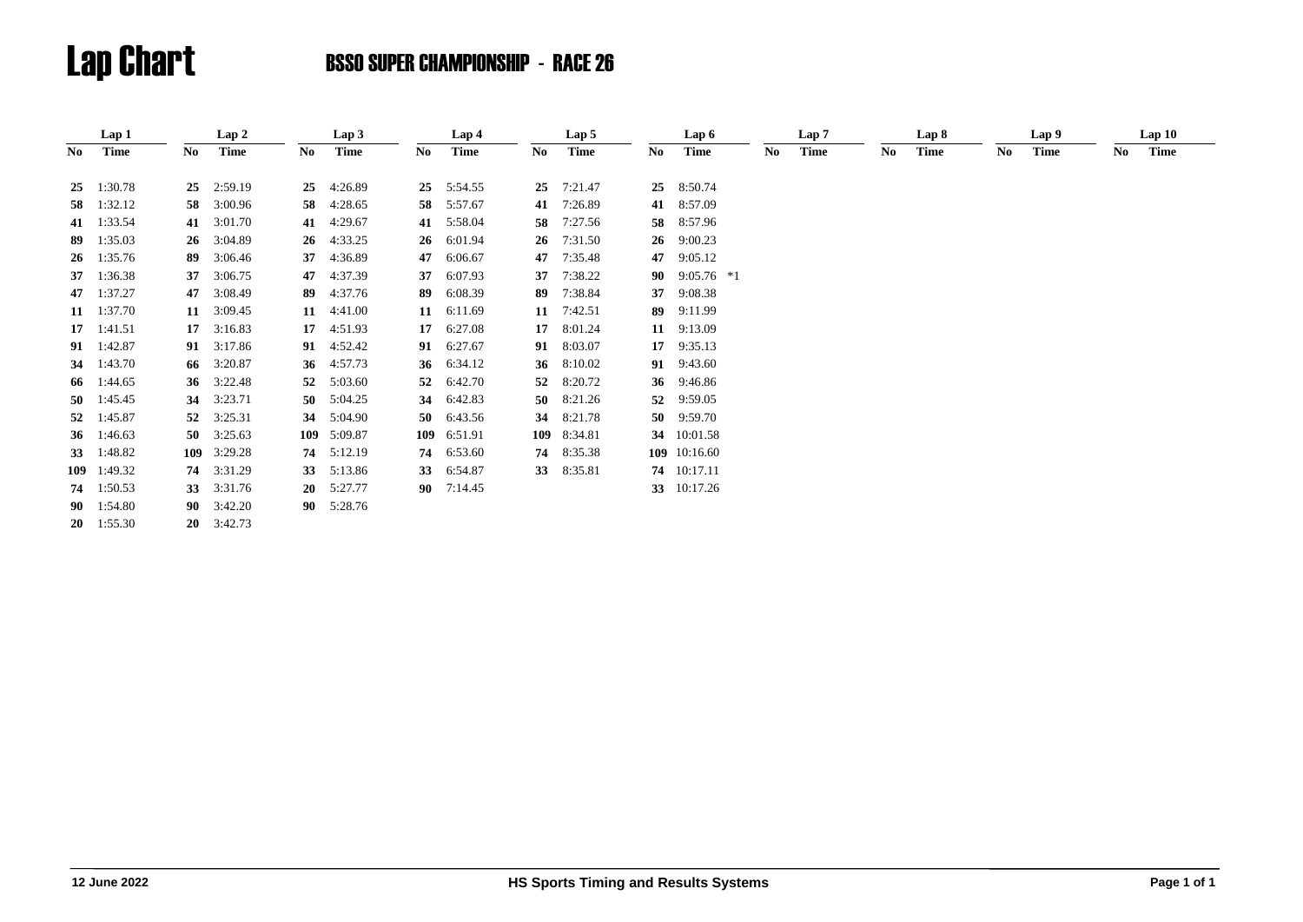|     | Lap 1              |     | Lap 2              |           | Lap 3   |     | Lap 4        |     | Lap 5        |     | Lap 6              |     | Lap <sub>7</sub> |    | Lap 8       |     | Lap 9 |    | Lap10 |  |
|-----|--------------------|-----|--------------------|-----------|---------|-----|--------------|-----|--------------|-----|--------------------|-----|------------------|----|-------------|-----|-------|----|-------|--|
| No. | Time               | No. | Time               | No        | Time    | No  | <b>Time</b>  | No. | <b>Time</b>  | No. | <b>Time</b>        | No. | <b>Time</b>      | No | <b>Time</b> | No. | Time  | No | Time  |  |
| 25  | 1:30.78            | 25  | 2:59.19            | 25        | 4:26.89 | 25  | 5:54.55      | 25  | 7:21.47      | 25  | 8:50.74            |     |                  |    |             |     |       |    |       |  |
|     | 58 1:32.12         | 58  | 3:00.96            | 58        | 4:28.65 | 58  | 5:57.67      | 41  | 7:26.89      |     | 41 8:57.09         |     |                  |    |             |     |       |    |       |  |
|     | 41 1:33.54         |     | 41 3:01.70         | 41        | 4:29.67 | 41  | 5:58.04      | 58  | 7:27.56      |     | 58 8:57.96         |     |                  |    |             |     |       |    |       |  |
| 89  | 1:35.03            | 26  | 3:04.89            | 26        | 4:33.25 | 26  | 6:01.94      | 26  | 7:31.50      |     | 26 9:00.23         |     |                  |    |             |     |       |    |       |  |
|     | $26 \quad 1:35.76$ | 89  | 3:06.46            | 37        | 4:36.89 | 47  | 6:06.67      | 47  | 7:35.48      | 47  | 9:05.12            |     |                  |    |             |     |       |    |       |  |
| 37  | 1:36.38            | 37  | 3:06.75            | 47        | 4:37.39 | 37  | 6:07.93      | 37  | 7:38.22      |     | 90 $9:05.76$ *1    |     |                  |    |             |     |       |    |       |  |
|     | 47 1:37.27         | 47  | 3:08.49            | 89        | 4:37.76 | 89  | 6:08.39      | 89  | 7:38.84      | 37  | 9:08.38            |     |                  |    |             |     |       |    |       |  |
|     | 11 $1:37.70$       |     | 11 3:09.45         | 11        | 4:41.00 | 11  | 6:11.69      |     | 11 $7:42.51$ | 89  | 9:11.99            |     |                  |    |             |     |       |    |       |  |
|     | $17 \quad 1:41.51$ | 17  | 3:16.83            | 17        | 4:51.93 | 17  | 6:27.08      | 17  | 8:01.24      |     | 11 9:13.09         |     |                  |    |             |     |       |    |       |  |
|     | 91 1:42.87         | 91  | 3:17.86            | 91        | 4:52.42 | 91  | 6:27.67      | 91  | 8:03.07      |     | $17 \quad 9:35.13$ |     |                  |    |             |     |       |    |       |  |
|     | 34 1:43.70         | 66  | 3:20.87            | 36        | 4:57.73 | 36  | 6:34.12      | 36  | 8:10.02      |     | 91 9:43.60         |     |                  |    |             |     |       |    |       |  |
|     | 66 1:44.65         |     | 36 3:22.48         | 52        | 5:03.60 | 52  | 6:42.70      | 52  | 8:20.72      |     | 36 9:46.86         |     |                  |    |             |     |       |    |       |  |
|     | 50 $1:45.45$       | 34  | 3:23.71            | 50        | 5:04.25 | 34  | 6:42.83      | 50  | 8:21.26      | 52  | 9:59.05            |     |                  |    |             |     |       |    |       |  |
|     | 52 1:45.87         |     | 52 3:25.31         | 34        | 5:04.90 | 50  | 6:43.56      | 34  | 8:21.78      |     | 50 9:59.70         |     |                  |    |             |     |       |    |       |  |
|     | 36 1:46.63         |     | 50 $3:25.63$       | 109       | 5:09.87 | 109 | 6:51.91      |     | 109 8:34.81  |     | 34 10:01.58        |     |                  |    |             |     |       |    |       |  |
| 33  | 1:48.82            |     | 109 3:29.28        | 74        | 5:12.19 | 74  | 6:53.60      | 74  | 8:35.38      |     | 109 10:16.60       |     |                  |    |             |     |       |    |       |  |
|     | 109 1:49.32        |     | 74 3:31.29         | 33        | 5:13.86 | 33  | 6:54.87      |     | 33 8:35.81   |     | 74 10:17.11        |     |                  |    |             |     |       |    |       |  |
| 74  | 1:50.53            |     | 33 3:31.76         | <b>20</b> | 5:27.77 |     | 90 $7:14.45$ |     |              |     | 33 10:17.26        |     |                  |    |             |     |       |    |       |  |
|     | 90 1:54.80         |     | $90 \quad 3:42.20$ | 90        | 5:28.76 |     |              |     |              |     |                    |     |                  |    |             |     |       |    |       |  |
|     | $20 \quad 1:55.30$ |     | $20 \quad 3:42.73$ |           |         |     |              |     |              |     |                    |     |                  |    |             |     |       |    |       |  |
|     |                    |     |                    |           |         |     |              |     |              |     |                    |     |                  |    |             |     |       |    |       |  |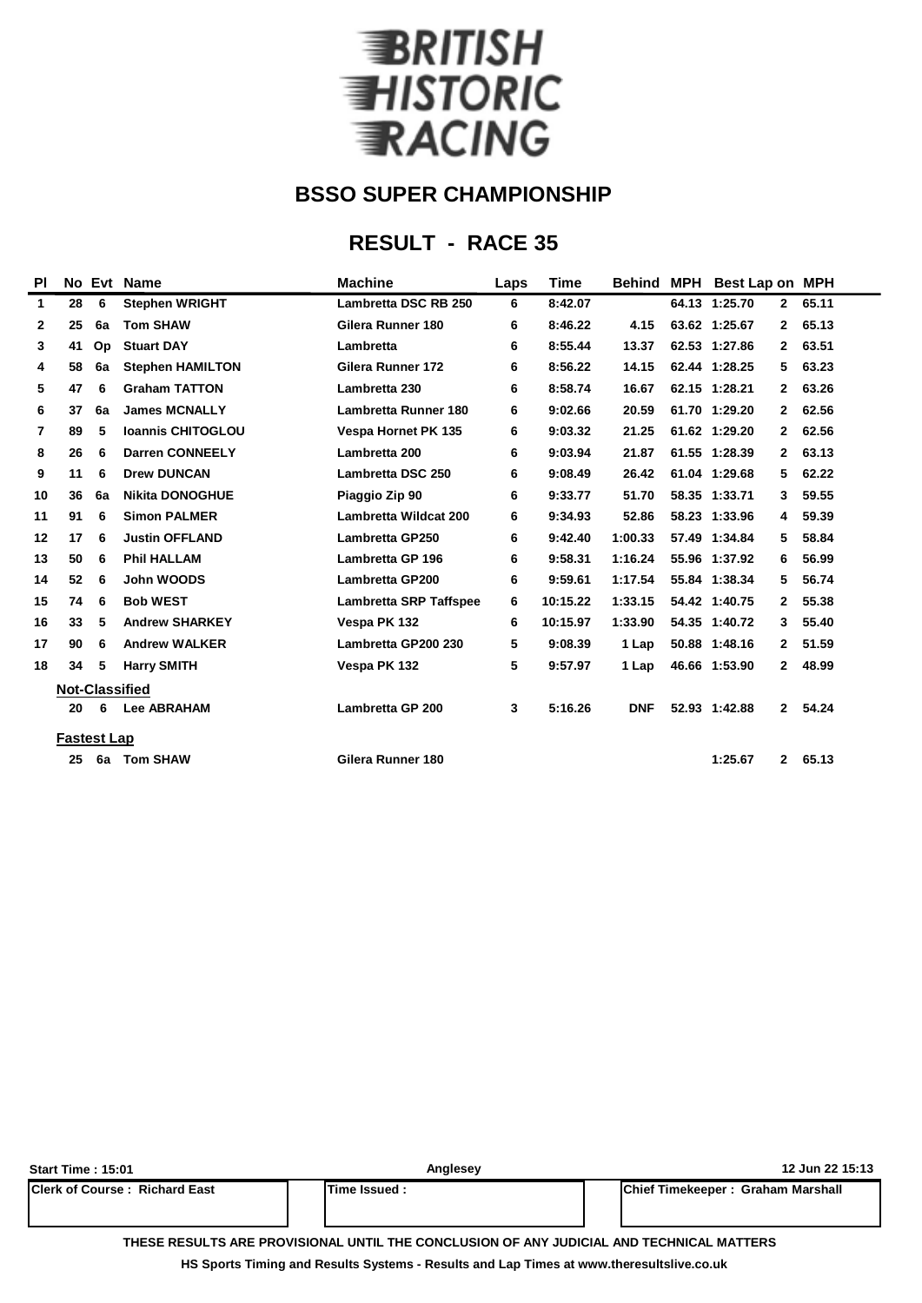

### **RESULT - RACE 35**

| <b>PI</b>      |                       | No Evt | <b>Name</b>              | <b>Machine</b>                | Laps | Time     | <b>Behind</b> | <b>MPH</b> | <b>Best Lap on MPH</b> |              |       |
|----------------|-----------------------|--------|--------------------------|-------------------------------|------|----------|---------------|------------|------------------------|--------------|-------|
| 1              | 28                    | 6      | <b>Stephen WRIGHT</b>    | <b>Lambretta DSC RB 250</b>   | 6    | 8:42.07  |               |            | 64.13 1:25.70          | $\mathbf{2}$ | 65.11 |
| $\mathbf{2}$   | 25                    | 6a     | <b>Tom SHAW</b>          | Gilera Runner 180             | 6    | 8:46.22  | 4.15          |            | 63.62 1:25.67          | $\mathbf{2}$ | 65.13 |
| 3              | 41                    | Op     | <b>Stuart DAY</b>        | Lambretta                     | 6    | 8:55.44  | 13.37         |            | 62.53 1:27.86          | 2            | 63.51 |
| 4              | 58                    | 6a     | <b>Stephen HAMILTON</b>  | Gilera Runner 172             | 6    | 8:56.22  | 14.15         |            | 62.44 1:28.25          | 5            | 63.23 |
| 5              | 47                    | 6      | <b>Graham TATTON</b>     | Lambretta 230                 | 6    | 8:58.74  | 16.67         |            | 62.15 1:28.21          | $\mathbf{2}$ | 63.26 |
| 6              | 37                    | 6a     | <b>James MCNALLY</b>     | <b>Lambretta Runner 180</b>   | 6    | 9:02.66  | 20.59         |            | 61.70 1:29.20          | 2            | 62.56 |
| $\overline{7}$ | 89                    | 5      | <b>Ioannis CHITOGLOU</b> | <b>Vespa Hornet PK 135</b>    | 6    | 9:03.32  | 21.25         |            | 61.62 1:29.20          | $\mathbf{2}$ | 62.56 |
| 8              | 26                    | 6      | <b>Darren CONNEELY</b>   | Lambretta 200                 | 6    | 9:03.94  | 21.87         |            | 61.55 1:28.39          | 2            | 63.13 |
| 9              | 11                    | 6      | <b>Drew DUNCAN</b>       | Lambretta DSC 250             | 6    | 9:08.49  | 26.42         |            | 61.04 1:29.68          | 5            | 62.22 |
| 10             | 36                    | 6a     | <b>Nikita DONOGHUE</b>   | Piaggio Zip 90                | 6    | 9:33.77  | 51.70         |            | 58.35 1:33.71          | 3            | 59.55 |
| 11             | 91                    | 6      | <b>Simon PALMER</b>      | <b>Lambretta Wildcat 200</b>  | 6    | 9:34.93  | 52.86         |            | 58.23 1:33.96          | 4            | 59.39 |
| 12             | 17                    | 6      | <b>Justin OFFLAND</b>    | <b>Lambretta GP250</b>        | 6    | 9:42.40  | 1:00.33       |            | 57.49 1:34.84          | 5            | 58.84 |
| 13             | 50                    | 6      | <b>Phil HALLAM</b>       | Lambretta GP 196              | 6    | 9:58.31  | 1:16.24       |            | 55.96 1:37.92          | 6            | 56.99 |
| 14             | 52                    | 6      | John WOODS               | <b>Lambretta GP200</b>        | 6    | 9:59.61  | 1:17.54       |            | 55.84 1:38.34          | 5            | 56.74 |
| 15             | 74                    | 6      | <b>Bob WEST</b>          | <b>Lambretta SRP Taffspee</b> | 6    | 10:15.22 | 1:33.15       |            | 54.42 1:40.75          | $\mathbf{2}$ | 55.38 |
| 16             | 33                    | 5      | <b>Andrew SHARKEY</b>    | Vespa PK 132                  | 6    | 10:15.97 | 1:33.90       |            | 54.35 1:40.72          | 3            | 55.40 |
| 17             | 90                    | 6      | <b>Andrew WALKER</b>     | Lambretta GP200 230           | 5    | 9:08.39  | 1 Lap         |            | 50.88 1:48.16          | $\mathbf{2}$ | 51.59 |
| 18             | 34                    | 5      | <b>Harry SMITH</b>       | Vespa PK 132                  | 5    | 9:57.97  | 1 Lap         |            | 46.66 1:53.90          | $\mathbf{2}$ | 48.99 |
|                | <b>Not-Classified</b> |        |                          |                               |      |          |               |            |                        |              |       |
|                | 20                    | 6      | <b>Lee ABRAHAM</b>       | Lambretta GP 200              | 3    | 5:16.26  | <b>DNF</b>    |            | 52.93 1:42.88          | $\mathbf{2}$ | 54.24 |
|                | <b>Fastest Lap</b>    |        |                          |                               |      |          |               |            |                        |              |       |
|                | 25                    | 6a     | <b>Tom SHAW</b>          | Gilera Runner 180             |      |          |               |            | 1:25.67                | $\mathbf{2}$ | 65.13 |
|                |                       |        |                          |                               |      |          |               |            |                        |              |       |

| <b>Start Time: 15:01</b>              | Anglesey       | 12 Jun 22 15:13                   |  |  |  |  |  |
|---------------------------------------|----------------|-----------------------------------|--|--|--|--|--|
| <b>IClerk of Course: Richard East</b> | lTime Issued : | Chief Timekeeper: Graham Marshall |  |  |  |  |  |
|                                       |                |                                   |  |  |  |  |  |

**THESE RESULTS ARE PROVISIONAL UNTIL THE CONCLUSION OF ANY JUDICIAL AND TECHNICAL MATTERS**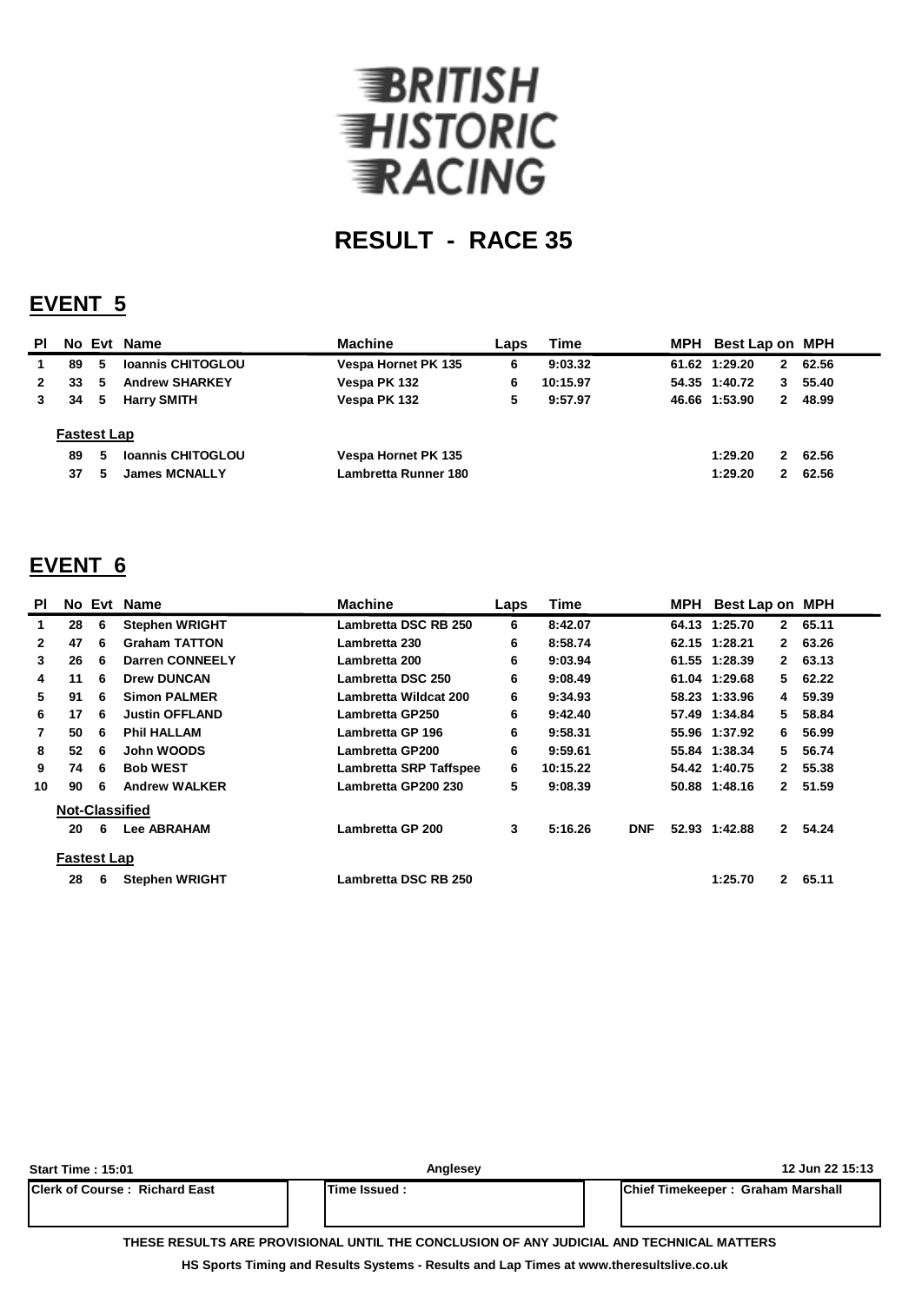

### **EVENT 5**

| <b>PI</b>    |                                |        | No Evt Name                                      | <b>Machine</b>                              | Laps | <b>Time</b> | MPH Best Lap on MPH |                              |                |
|--------------|--------------------------------|--------|--------------------------------------------------|---------------------------------------------|------|-------------|---------------------|------------------------------|----------------|
|              | 89                             | 5      | <b>Ioannis CHITOGLOU</b>                         | Vespa Hornet PK 135                         | 6    | 9:03.32     | 61.62 1:29.20       | $\mathbf{2}$                 | 62.56          |
| $\mathbf{2}$ | 33                             | 5      | <b>Andrew SHARKEY</b>                            | Vespa PK 132                                | 6    | 10:15.97    | 54.35 1:40.72       | 3.                           | 55.40          |
|              | 34                             | 5      | <b>Harry SMITH</b>                               | Vespa PK 132                                | 5    | 9:57.97     | 46.66 1:53.90       | $\mathbf{2}$                 | 48.99          |
|              | <b>Fastest Lap</b><br>89<br>37 | 5<br>5 | <b>Ioannis CHITOGLOU</b><br><b>James MCNALLY</b> | Vespa Hornet PK 135<br>Lambretta Runner 180 |      |             | 1:29.20<br>1:29.20  | $\mathbf{2}$<br>$\mathbf{2}$ | 62.56<br>62.56 |

#### **EVENT 6**

| <b>PI</b>      |                    |   | No Evt Name            | <b>Machine</b>         | Laps | <b>Time</b> |            | MPH | Best Lap on MPH |              |       |
|----------------|--------------------|---|------------------------|------------------------|------|-------------|------------|-----|-----------------|--------------|-------|
| 1              | 28                 | 6 | <b>Stephen WRIGHT</b>  | Lambretta DSC RB 250   | 6    | 8:42.07     |            |     | 64.13 1:25.70   | $\mathbf{2}$ | 65.11 |
| $\mathbf{2}$   | 47                 | 6 | <b>Graham TATTON</b>   | Lambretta 230          | 6    | 8:58.74     |            |     | 62.15 1:28.21   | $\mathbf{2}$ | 63.26 |
| 3              | 26                 | 6 | <b>Darren CONNEELY</b> | Lambretta 200          | 6    | 9:03.94     |            |     | 61.55 1:28.39   | $\mathbf{2}$ | 63.13 |
| 4              | 11                 | 6 | <b>Drew DUNCAN</b>     | Lambretta DSC 250<br>6 |      | 9:08.49     |            |     | 61.04 1:29.68   | 5.           | 62.22 |
| 5              | 91                 | 6 | <b>Simon PALMER</b>    | Lambretta Wildcat 200  |      | 9:34.93     |            |     | 58.23 1:33.96   | 4            | 59.39 |
| 6              | 17                 | 6 | <b>Justin OFFLAND</b>  | Lambretta GP250        |      | 9:42.40     |            |     | 57.49 1:34.84   | 5.           | 58.84 |
| $\overline{7}$ | 50                 | 6 | <b>Phil HALLAM</b>     | Lambretta GP 196       | 6    | 9:58.31     |            |     | 55.96 1:37.92   | 6.           | 56.99 |
| 8              | 52                 | 6 | John WOODS             | Lambretta GP200        | 6    | 9:59.61     |            |     | 55.84 1:38.34   | 5.           | 56.74 |
| 9              | 74                 | 6 | <b>Bob WEST</b>        | Lambretta SRP Taffspee | 6    | 10:15.22    |            |     | 54.42 1:40.75   | $\mathbf{2}$ | 55.38 |
| 10             | 90                 | 6 | <b>Andrew WALKER</b>   | Lambretta GP200 230    | 5    | 9:08.39     |            |     | 50.88 1:48.16   | $\mathbf{2}$ | 51.59 |
|                |                    |   | <b>Not-Classified</b>  |                        |      |             |            |     |                 |              |       |
|                | 20                 | 6 | <b>Lee ABRAHAM</b>     | Lambretta GP 200       | 3    | 5:16.26     | <b>DNF</b> |     | 52.93 1:42.88   | $\mathbf{2}$ | 54.24 |
|                | <b>Fastest Lap</b> |   |                        |                        |      |             |            |     |                 |              |       |
|                | 28                 | 6 | <b>Stephen WRIGHT</b>  | Lambretta DSC RB 250   |      |             |            |     | 1:25.70         | $\mathbf{2}$ | 65.11 |

| <b>Start Time : 15:01</b>                                                                | Anglesey      | 12 Jun 22 15:13                   |  |  |  |  |  |  |  |  |  |
|------------------------------------------------------------------------------------------|---------------|-----------------------------------|--|--|--|--|--|--|--|--|--|
| <b>IClerk of Course: Richard East</b>                                                    | Time Issued : | Chief Timekeeper: Graham Marshall |  |  |  |  |  |  |  |  |  |
|                                                                                          |               |                                   |  |  |  |  |  |  |  |  |  |
| THESE RESULTS ARE PROVISIONAL UNTIL THE CONCLUSION OF ANY JUDICIAL AND TECHNICAL MATTERS |               |                                   |  |  |  |  |  |  |  |  |  |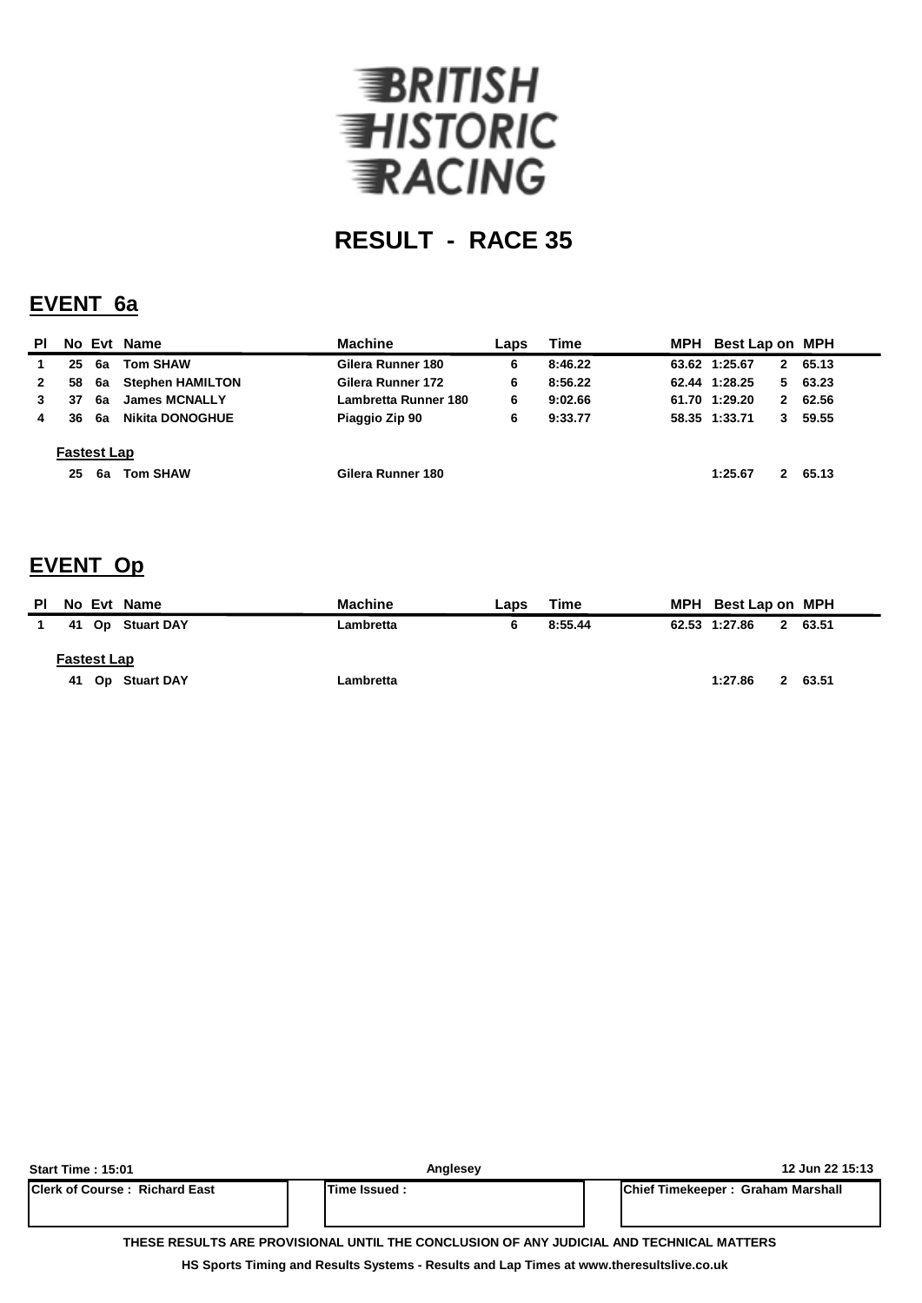

#### **EVENT 6a**

| <b>PI</b>    |                          |    | No Evt Name             | <b>Machine</b>       | Laps | Time    |               | MPH Best Lap on MPH |          |
|--------------|--------------------------|----|-------------------------|----------------------|------|---------|---------------|---------------------|----------|
|              | 25                       | 6a | <b>Tom SHAW</b>         | Gilera Runner 180    | 6    | 8:46.22 | 63.62 1:25.67 |                     | 2 65.13  |
| $\mathbf{2}$ | 58                       | 6а | <b>Stephen HAMILTON</b> | Gilera Runner 172    | 6    | 8:56.22 | 62.44 1:28.25 |                     | 563.23   |
|              | 37                       | 6a | <b>James MCNALLY</b>    | Lambretta Runner 180 | 6    | 9:02.66 | 61.70 1:29.20 |                     | 2 62.56  |
| 4            | 36                       | 6а | Nikita DONOGHUE         | Piaggio Zip 90       | 6    | 9:33.77 | 58.35 1:33.71 |                     | 3, 59.55 |
|              | <b>Fastest Lap</b><br>25 | 6а | <b>Tom SHAW</b>         | Gilera Runner 180    |      |         | 1:25.67       |                     | 2 65.13  |

### **EVENT Op**

| ΡI                 |  | No Evt Name      | <b>Machine</b> | Laps | Time    | MPH Best Lap on MPH |             |         |
|--------------------|--|------------------|----------------|------|---------|---------------------|-------------|---------|
|                    |  | 41 Op Stuart DAY | Lambretta      |      | 8:55.44 | 62.53 1:27.86       |             | 2 63.51 |
| <b>Fastest Lap</b> |  |                  |                |      |         |                     |             |         |
|                    |  | 41 Op Stuart DAY | Lambretta      |      |         | 1:27.86             | $2^{\circ}$ | 63.51   |

| <b>Start Time: 15:01</b>                                                                 | Anglesev      | 12 Jun 22 15:13                           |  |  |  |  |  |  |  |  |  |  |
|------------------------------------------------------------------------------------------|---------------|-------------------------------------------|--|--|--|--|--|--|--|--|--|--|
| <b>IClerk of Course: Richard East</b>                                                    | Time Issued : | <b>IChief Timekeeper: Graham Marshall</b> |  |  |  |  |  |  |  |  |  |  |
|                                                                                          |               |                                           |  |  |  |  |  |  |  |  |  |  |
| THESE RESULTS ARE PROVISIONAL UNTIL THE CONCLUSION OF ANY JUDICIAL AND TECHNICAL MATTERS |               |                                           |  |  |  |  |  |  |  |  |  |  |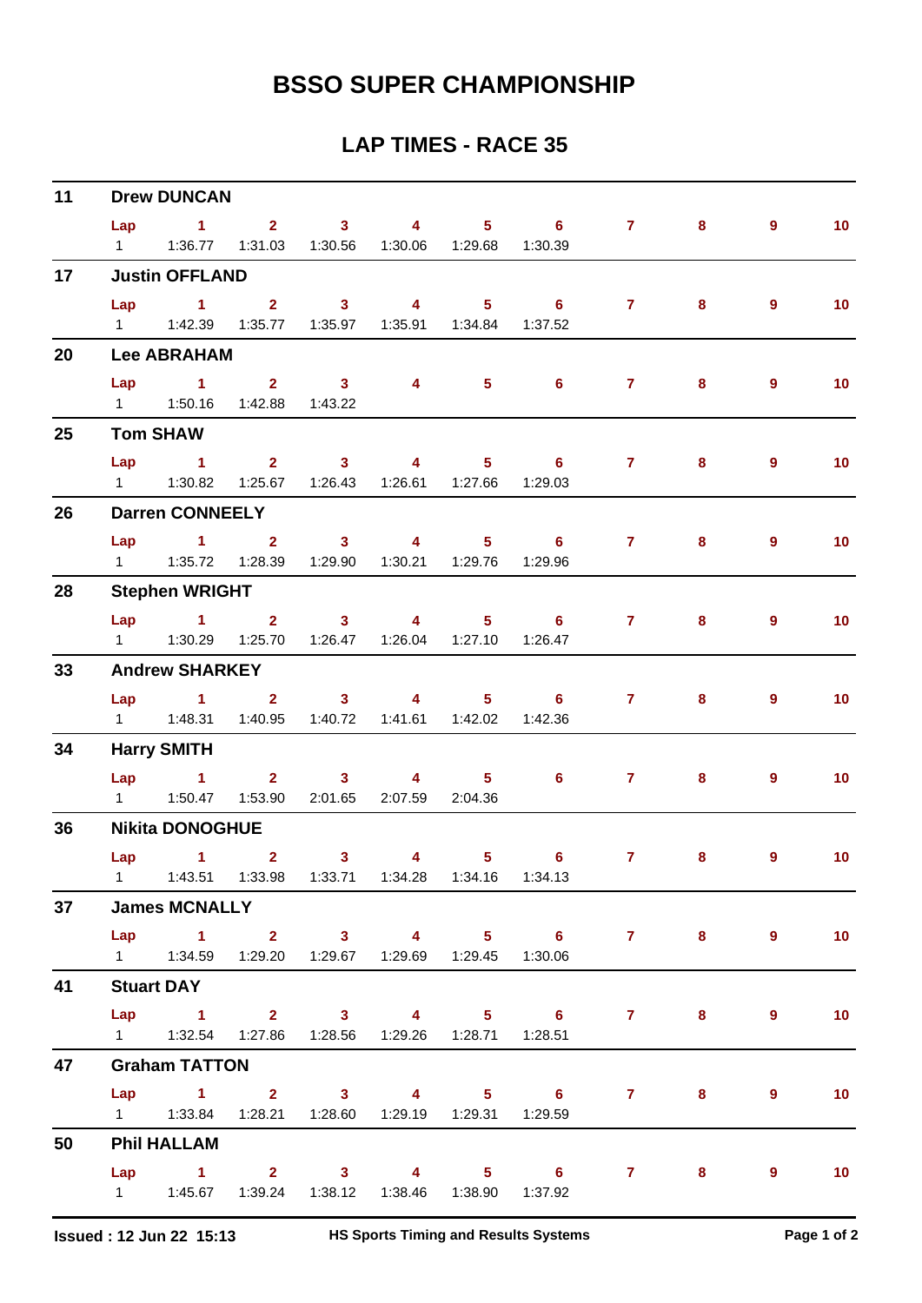| 11                                     |                      | <b>Drew DUNCAN</b>                                            |                               |                                               |                                    |                                                                                                                                                                                                                                                                                                                                    |                            |                    |       |                |                   |  |  |  |  |
|----------------------------------------|----------------------|---------------------------------------------------------------|-------------------------------|-----------------------------------------------|------------------------------------|------------------------------------------------------------------------------------------------------------------------------------------------------------------------------------------------------------------------------------------------------------------------------------------------------------------------------------|----------------------------|--------------------|-------|----------------|-------------------|--|--|--|--|
|                                        | Lap                  | $\sim$ 1                                                      | $\overline{2}$ $\overline{3}$ |                                               | $\sim$ 4                           |                                                                                                                                                                                                                                                                                                                                    | $5 \t\t 6$                 | $\mathbf{7}$       | 8     | $\overline{9}$ | 10 <sub>1</sub>   |  |  |  |  |
|                                        | $1 \quad \Box$       |                                                               |                               | 1:36.77  1:31.03  1:30.56  1:30.06  1:29.68   |                                    |                                                                                                                                                                                                                                                                                                                                    | 1:30.39                    |                    |       |                |                   |  |  |  |  |
| 17<br>20<br>25<br>26<br>28<br>33<br>34 |                      | <b>Justin OFFLAND</b>                                         |                               |                                               |                                    |                                                                                                                                                                                                                                                                                                                                    |                            |                    |       |                |                   |  |  |  |  |
|                                        |                      | $Lap$ 1 2                                                     |                               | $\sim$ 3                                      | $\overline{\mathbf{A}}$            | $\overline{\phantom{1}}$ 5                                                                                                                                                                                                                                                                                                         | $6\qquad 7$                |                    | 8     | $\overline{9}$ | 10 <sub>1</sub>   |  |  |  |  |
|                                        |                      |                                                               |                               |                                               |                                    |                                                                                                                                                                                                                                                                                                                                    | 1:37.52                    |                    |       |                |                   |  |  |  |  |
|                                        |                      | <b>Lee ABRAHAM</b>                                            |                               |                                               |                                    |                                                                                                                                                                                                                                                                                                                                    |                            |                    |       |                |                   |  |  |  |  |
|                                        | Lap                  | $\sim$ 1                                                      |                               | $2 \t 3$                                      | 4                                  | 5 <sub>1</sub>                                                                                                                                                                                                                                                                                                                     | $6^{\circ}$                | 7 <sup>7</sup>     | 8     | 9              | 10 <sub>1</sub>   |  |  |  |  |
|                                        |                      | 1   1:50.16   1:42.88   1:43.22                               |                               |                                               |                                    |                                                                                                                                                                                                                                                                                                                                    |                            |                    |       |                |                   |  |  |  |  |
|                                        |                      | <b>Tom SHAW</b>                                               |                               |                                               |                                    |                                                                                                                                                                                                                                                                                                                                    |                            |                    |       |                |                   |  |  |  |  |
|                                        | Lap                  | $\sim$ 1.                                                     |                               | 2 3 4                                         |                                    |                                                                                                                                                                                                                                                                                                                                    | $5 \t\t 6$                 | 7 <sup>7</sup>     | 8     | 9              | 10 <sub>1</sub>   |  |  |  |  |
|                                        |                      | 1.30.82                                                       |                               | 1:25.67  1:26.43  1:26.61  1:27.66  1:29.03   |                                    |                                                                                                                                                                                                                                                                                                                                    |                            |                    |       |                |                   |  |  |  |  |
|                                        |                      | <b>Darren CONNEELY</b>                                        |                               |                                               |                                    |                                                                                                                                                                                                                                                                                                                                    |                            |                    |       |                |                   |  |  |  |  |
|                                        | Lap                  | $\overline{1}$ $\overline{2}$                                 |                               | $\overline{\mathbf{3}}$                       | $\overline{\mathbf{A}}$            |                                                                                                                                                                                                                                                                                                                                    | $5 \t\t 6$                 | $\mathbf{7}$       | 8     | 9              | 10 <sub>1</sub>   |  |  |  |  |
|                                        | $1 \quad$            |                                                               |                               |                                               | 1:29.90  1:30.21  1:29.76  1:29.96 |                                                                                                                                                                                                                                                                                                                                    |                            |                    |       |                |                   |  |  |  |  |
|                                        |                      | <b>Stephen WRIGHT</b>                                         |                               |                                               |                                    |                                                                                                                                                                                                                                                                                                                                    |                            |                    |       |                |                   |  |  |  |  |
|                                        |                      | $Lap$ 1 2                                                     |                               |                                               | $3 \t 4$                           |                                                                                                                                                                                                                                                                                                                                    | $5 \t\t 6 \t\t 7$          |                    | 8     | 9              | 10 <sub>1</sub>   |  |  |  |  |
|                                        |                      |                                                               |                               |                                               |                                    |                                                                                                                                                                                                                                                                                                                                    | 1:26.47                    |                    |       |                |                   |  |  |  |  |
|                                        |                      | <b>Andrew SHARKEY</b>                                         |                               |                                               |                                    |                                                                                                                                                                                                                                                                                                                                    |                            |                    |       |                |                   |  |  |  |  |
|                                        | Lap                  | $\sim$ 1                                                      | 2 <sup>1</sup>                | $\sim$ 3 and $\sim$ 3 and $\sim$ 3 and $\sim$ |                                    | $\overline{4}$ and $\overline{4}$ and $\overline{4}$ and $\overline{4}$ and $\overline{4}$ and $\overline{4}$ and $\overline{4}$ and $\overline{4}$ and $\overline{4}$ and $\overline{4}$ and $\overline{4}$ and $\overline{4}$ and $\overline{4}$ and $\overline{4}$ and $\overline{4}$ and $\overline{4}$ and $\overline{4}$ and | $5 \t\t 6$                 | 7 <sup>7</sup>     | 8     | 9              | 10 <sub>1</sub>   |  |  |  |  |
|                                        |                      | 1   1:48.31   1:40.95   1:40.72   1:41.61   1:42.02   1:42.36 |                               |                                               |                                    |                                                                                                                                                                                                                                                                                                                                    |                            |                    |       |                |                   |  |  |  |  |
|                                        | <b>Harry SMITH</b>   |                                                               |                               |                                               |                                    |                                                                                                                                                                                                                                                                                                                                    |                            |                    |       |                |                   |  |  |  |  |
|                                        |                      | Lap 1                                                         |                               | 2 3 4 5                                       |                                    |                                                                                                                                                                                                                                                                                                                                    | $\overline{\phantom{a}}$ 6 | $7 \quad \text{ }$ | 8     | 9              | 10 <sub>1</sub>   |  |  |  |  |
|                                        |                      |                                                               | 1:53.90                       |                                               | 2:01.65 2:07.59 2:04.36            |                                                                                                                                                                                                                                                                                                                                    |                            |                    |       |                |                   |  |  |  |  |
| 36                                     |                      | <b>Nikita DONOGHUE</b>                                        |                               |                                               |                                    |                                                                                                                                                                                                                                                                                                                                    |                            |                    |       |                |                   |  |  |  |  |
|                                        | Lap                  | $\sim$ 1.000 $\sim$ 1.000 $\sim$                              | 2 <sup>7</sup>                | 3 <sup>7</sup>                                |                                    | $\overline{\mathbf{4}}$ and $\overline{\mathbf{4}}$                                                                                                                                                                                                                                                                                | $5 \t\t 6$                 | $\mathbf{7}$       | 8     | 9              | 10 <sub>1</sub>   |  |  |  |  |
|                                        |                      | 1   1:43.51   1:33.98   1:33.71   1:34.28   1:34.16   1:34.13 |                               |                                               |                                    |                                                                                                                                                                                                                                                                                                                                    |                            |                    |       |                |                   |  |  |  |  |
| 37                                     | <b>James MCNALLY</b> |                                                               |                               |                                               |                                    |                                                                                                                                                                                                                                                                                                                                    |                            |                    |       |                |                   |  |  |  |  |
|                                        |                      |                                                               |                               |                                               |                                    |                                                                                                                                                                                                                                                                                                                                    | Lap 1 2 3 4 5 6 7 8 9      |                    |       |                | $\sim$ 10         |  |  |  |  |
|                                        |                      | 1   1:34.59   1:29.20   1:29.67   1:29.69   1:29.45   1:30.06 |                               |                                               |                                    |                                                                                                                                                                                                                                                                                                                                    |                            |                    |       |                |                   |  |  |  |  |
| 41                                     | <b>Stuart DAY</b>    |                                                               |                               |                                               |                                    |                                                                                                                                                                                                                                                                                                                                    |                            |                    |       |                |                   |  |  |  |  |
|                                        |                      |                                                               |                               |                                               |                                    |                                                                                                                                                                                                                                                                                                                                    | Lap 1 2 3 4 5 6 7          |                    | $8 -$ | 9              | 10                |  |  |  |  |
|                                        |                      | 1   1:32.54   1:27.86   1:28.56   1:29.26   1:28.71   1:28.51 |                               |                                               |                                    |                                                                                                                                                                                                                                                                                                                                    |                            |                    |       |                |                   |  |  |  |  |
| 47                                     |                      | <b>Graham TATTON</b>                                          |                               |                                               |                                    |                                                                                                                                                                                                                                                                                                                                    |                            |                    |       |                |                   |  |  |  |  |
|                                        |                      |                                                               |                               |                                               |                                    |                                                                                                                                                                                                                                                                                                                                    | Lap 1 2 3 4 5 6 7 8        |                    |       | 9              | 10                |  |  |  |  |
|                                        |                      | 1   1:33.84   1:28.21   1:28.60   1:29.19   1:29.31   1:29.59 |                               |                                               |                                    |                                                                                                                                                                                                                                                                                                                                    |                            |                    |       |                |                   |  |  |  |  |
| 50                                     |                      | <b>Phil HALLAM</b>                                            |                               |                                               |                                    |                                                                                                                                                                                                                                                                                                                                    |                            |                    |       |                |                   |  |  |  |  |
|                                        |                      |                                                               |                               |                                               |                                    |                                                                                                                                                                                                                                                                                                                                    | Lap 1 2 3 4 5 6 7          |                    | $8 -$ | 9              | $\blacksquare$ 10 |  |  |  |  |
|                                        |                      | 1   1:45.67   1:39.24   1:38.12   1:38.46   1:38.90   1:37.92 |                               |                                               |                                    |                                                                                                                                                                                                                                                                                                                                    |                            |                    |       |                |                   |  |  |  |  |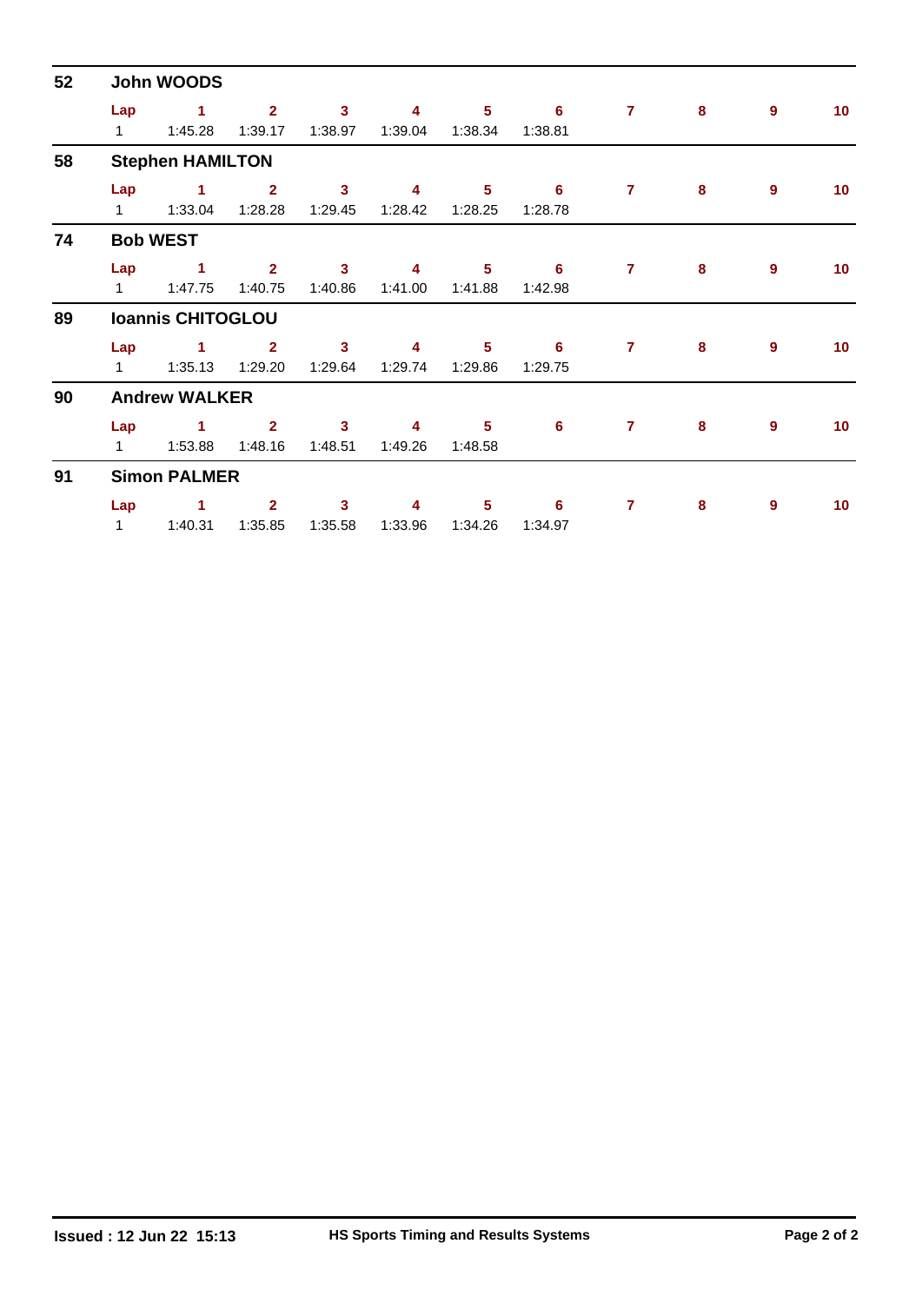| 52 |                          | <b>John WOODS</b>               |                           |                                    |              |                            |              |                |          |                  |                 |  |  |  |  |  |
|----|--------------------------|---------------------------------|---------------------------|------------------------------------|--------------|----------------------------|--------------|----------------|----------|------------------|-----------------|--|--|--|--|--|
|    | Lap<br>$1 \quad$         | 1<br>1:45.28                    | $\overline{2}$<br>1:39.17 | $\overline{3}$<br>1:38.97          | 4<br>1:39.04 | 5 <sup>5</sup><br>1:38.34  | 6<br>1:38.81 | $\overline{7}$ | 8        | 9                | 10 <sub>1</sub> |  |  |  |  |  |
| 58 | <b>Stephen HAMILTON</b>  |                                 |                           |                                    |              |                            |              |                |          |                  |                 |  |  |  |  |  |
|    | Lap                      | $\blacksquare$                  | $\mathbf{2}$<br>1:28.28   | $\mathbf{3}$<br>1:29.45            | 4<br>1:28.42 | 5<br>1:28.25               | 6<br>1:28.78 | $\mathbf{7}$   | 8        | 9                | 10              |  |  |  |  |  |
| 74 |                          | <b>Bob WEST</b>                 |                           |                                    |              |                            |              |                |          |                  |                 |  |  |  |  |  |
|    | Lap<br>$1 \quad$         | $\sim$ 1<br>1:47.75             | $\overline{2}$<br>1:40.75 | $\mathbf{3}$<br>1:40.86            | 4<br>1:41.00 | $5\phantom{.0}$<br>1:41.88 | 6<br>1:42.98 | $\overline{7}$ | 8        | $\boldsymbol{9}$ | 10 <sub>1</sub> |  |  |  |  |  |
| 89 | <b>Ioannis CHITOGLOU</b> |                                 |                           |                                    |              |                            |              |                |          |                  |                 |  |  |  |  |  |
|    | Lap<br>$1 \quad$         | $\blacktriangleleft$<br>1:35.13 | $\mathbf{2}$<br>1:29.20   | $\mathbf{3}$<br>1:29.64            | 4<br>1:29.74 | $5\phantom{.0}$<br>1:29.86 | 6<br>1:29.75 | $\overline{7}$ | 8        | $\boldsymbol{9}$ | 10              |  |  |  |  |  |
| 90 | <b>Andrew WALKER</b>     |                                 |                           |                                    |              |                            |              |                |          |                  |                 |  |  |  |  |  |
|    | Lap<br>$1 \quad$         | $\blacktriangleleft$<br>1:53.88 | $\mathbf{2}$<br>1:48.16   | $\overline{\mathbf{3}}$<br>1:48.51 | 4<br>1:49.26 | 5<br>1:48.58               | 6            | $\overline{7}$ | $\bf{8}$ | 9                | 10              |  |  |  |  |  |
| 91 |                          | <b>Simon PALMER</b>             |                           |                                    |              |                            |              |                |          |                  |                 |  |  |  |  |  |
|    | Lap<br>1                 | $\blacktriangleleft$<br>1:40.31 | $\mathbf{2}$<br>1:35.85   | 3<br>1:35.58                       | 4<br>1:33.96 | 5<br>1:34.26               | 6<br>1:34.97 | $\overline{7}$ | 8        | 9                | 10              |  |  |  |  |  |